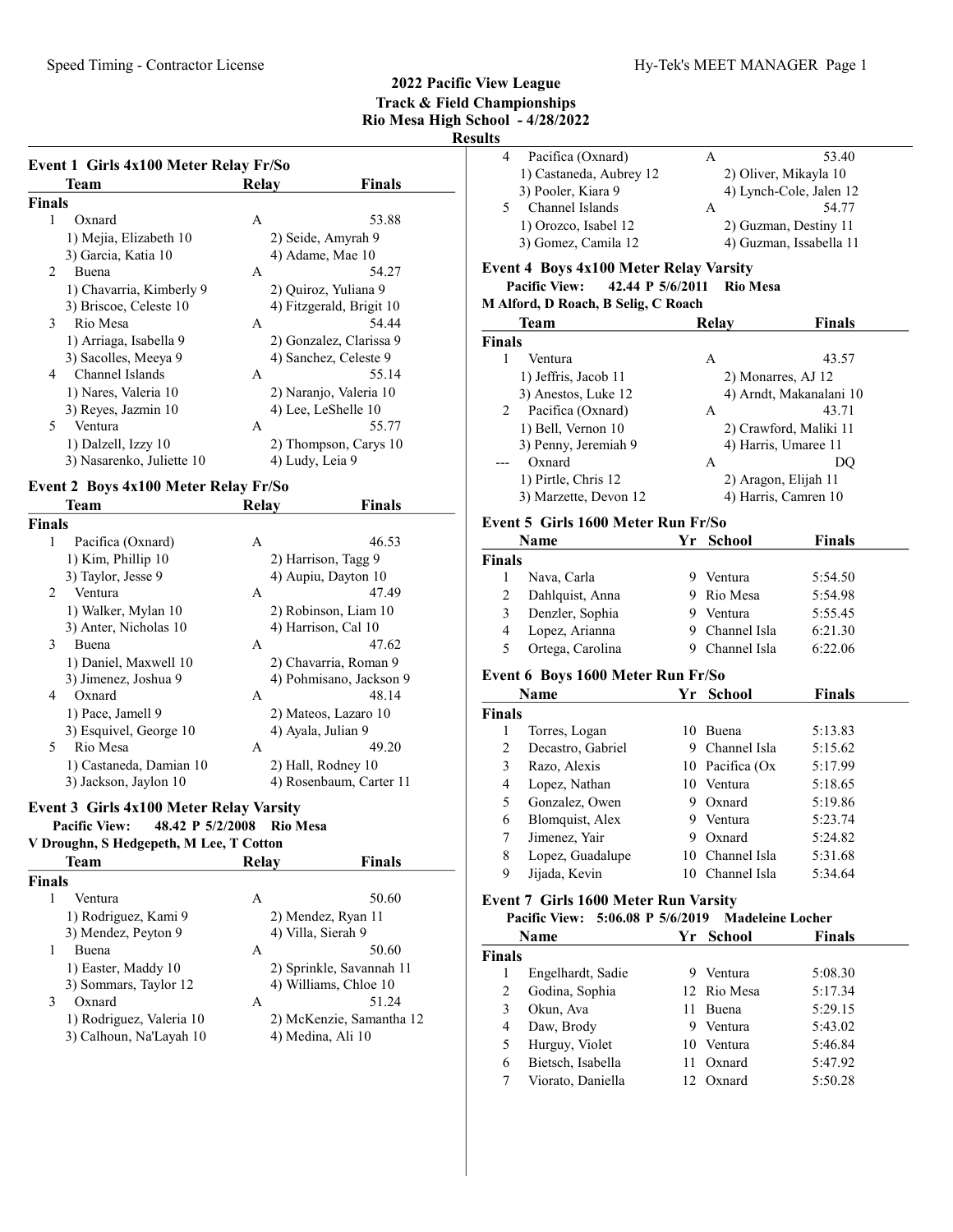# Results

|                | Event 1 Girls 4x100 Meter Relay Fr/So                   |                    |                          |
|----------------|---------------------------------------------------------|--------------------|--------------------------|
|                | Team                                                    | Relay              | <b>Finals</b>            |
| <b>Finals</b>  |                                                         |                    |                          |
| 1              | Oxnard                                                  | А                  | 53.88                    |
|                | 1) Mejia, Elizabeth 10                                  |                    | 2) Seide, Amyrah 9       |
|                | 3) Garcia, Katia 10                                     |                    | 4) Adame, Mae 10         |
| 2              | Buena                                                   | A                  | 54.27                    |
|                | 1) Chavarria, Kimberly 9                                |                    | 2) Quiroz, Yuliana 9     |
|                | 3) Briscoe, Celeste 10                                  |                    | 4) Fitzgerald, Brigit 10 |
| 3              | Rio Mesa                                                | А                  | 54.44                    |
|                | 1) Arriaga, Isabella 9                                  |                    | 2) Gonzalez, Clarissa 9  |
|                | 3) Sacolles, Meeya 9                                    |                    | 4) Sanchez, Celeste 9    |
| 4              | Channel Islands                                         | А                  | 55.14                    |
|                | 1) Nares, Valeria 10                                    |                    | 2) Naranjo, Valeria 10   |
|                | 3) Reyes, Jazmin 10                                     |                    | 4) Lee, LeShelle 10      |
| 5              | Ventura                                                 | A                  | 55.77                    |
|                | 1) Dalzell, Izzy 10                                     |                    | 2) Thompson, Carys 10    |
|                | 3) Nasarenko, Juliette 10                               | 4) Ludy, Leia 9    |                          |
|                | Event 2 Boys 4x100 Meter Relay Fr/So                    |                    |                          |
|                | Team                                                    | <b>Relay</b>       | Finals                   |
| <b>Finals</b>  |                                                         |                    |                          |
| 1              | Pacifica (Oxnard)                                       | А                  | 46.53                    |
|                | 1) Kim, Phillip 10                                      |                    | 2) Harrison, Tagg 9      |
|                | 3) Taylor, Jesse 9                                      |                    | 4) Aupiu, Dayton 10      |
| $\overline{2}$ | Ventura                                                 | A                  | 47.49                    |
|                | 1) Walker, Mylan 10                                     |                    | 2) Robinson, Liam 10     |
|                | 3) Anter, Nicholas 10                                   |                    | 4) Harrison, Cal 10      |
| 3              | Buena                                                   | A                  | 47.62                    |
|                | 1) Daniel, Maxwell 10                                   |                    | 2) Chavarria, Roman 9    |
|                | 3) Jimenez, Joshua 9                                    |                    | 4) Pohmisano, Jackson 9  |
| 4              | Oxnard                                                  | А                  | 48.14                    |
|                | 1) Pace, Jamell 9                                       |                    | 2) Mateos, Lazaro 10     |
|                | 3) Esquivel, George 10                                  | 4) Ayala, Julian 9 |                          |
| 5              | Rio Mesa                                                | A                  | 49.20                    |
|                | 1) Castaneda, Damian 10                                 |                    | 2) Hall, Rodney 10       |
|                | 3) Jackson, Jaylon 10                                   |                    | 4) Rosenbaum, Carter 11  |
|                | $Event 2$ $Cink$ $A x 100$ $M$ oton $D$ olov $V$ ongity |                    |                          |

# Event 3 Girls 4x100 Meter Relay Varsity

#### Pacific View: 48.42 P 5/2/2008 Rio Mesa V Droughn, S Hedgepeth, M Lee, T Cotton

| <b>Team</b>              | Relay              | Finals                   |
|--------------------------|--------------------|--------------------------|
| Finals                   |                    |                          |
| Ventura                  | A                  | 50.60                    |
| 1) Rodriguez, Kami 9     |                    | 2) Mendez, Ryan 11       |
| 3) Mendez, Peyton 9      | 4) Villa, Sierah 9 |                          |
| <b>Buena</b>             | А                  | 50.60                    |
| 1) Easter, Maddy 10      |                    | 2) Sprinkle, Savannah 11 |
| 3) Sommars, Taylor 12    |                    | 4) Williams, Chloe 10    |
| 3<br>Oxnard              | А                  | 51.24                    |
| 1) Rodriguez, Valeria 10 |                    | 2) McKenzie, Samantha 12 |
| 3) Calhoun, Na'Layah 10  |                    | 4) Medina, Ali 10        |

| LЭ |                         |   |                         |
|----|-------------------------|---|-------------------------|
|    | Pacifica (Oxnard)       | А | 53.40                   |
|    | 1) Castaneda, Aubrey 12 |   | 2) Oliver, Mikayla 10   |
|    | 3) Pooler, Kiara 9      |   | 4) Lynch-Cole, Jalen 12 |
|    | Channel Islands         | A | 54.77                   |
|    | 1) Orozco, Isabel 12    |   | 2) Guzman, Destiny 11   |
|    | 3) Gomez, Camila 12     |   | 4) Guzman, Issabella 11 |

#### Event 4 Boys 4x100 Meter Relay Varsity

#### Pacific View:  $42.44$  P  $5/6/2011$  Rio Mesa

#### M Alford, D Roach, B Selig, C Roach

|                | <b>Team</b>           | Relay | <b>Finals</b>           |
|----------------|-----------------------|-------|-------------------------|
| <b>Finals</b>  |                       |       |                         |
|                | Ventura               | A     | 43.57                   |
|                | 1) Jeffris, Jacob 11  |       | 2) Monarres, AJ 12      |
|                | 3) Anestos, Luke 12   |       | 4) Arndt, Makanalani 10 |
| $\overline{2}$ | Pacifica (Oxnard)     | A     | 43.71                   |
|                | 1) Bell, Vernon 10    |       | 2) Crawford, Maliki 11  |
|                | 3) Penny, Jeremiah 9  |       | 4) Harris, Umaree 11    |
|                | Oxnard                | A     | DO                      |
|                | 1) Pirtle, Chris 12   |       | 2) Aragon, Elijah 11    |
|                | 3) Marzette, Devon 12 |       | 4) Harris, Camren 10    |

#### Event 5 Girls 1600 Meter Run Fr/So

| <b>Name</b>   |                  |   | Yr School      | <b>Finals</b> |  |
|---------------|------------------|---|----------------|---------------|--|
| <b>Finals</b> |                  |   |                |               |  |
|               | Nava, Carla      | 9 | Ventura        | 5:54.50       |  |
| 2             | Dahlquist, Anna  |   | 9 Rio Mesa     | 5:54.98       |  |
| 3             | Denzler, Sophia  |   | Ventura        | 5:55.45       |  |
| 4             | Lopez, Arianna   |   | 9 Channel Isla | 6:21.30       |  |
| 5             | Ortega, Carolina |   | 9 Channel Isla | 6:22.06       |  |

## Event 6 Boys 1600 Meter Run Fr/So

| Name          |                   |    | Yr School       | <b>Finals</b> |  |
|---------------|-------------------|----|-----------------|---------------|--|
| <b>Finals</b> |                   |    |                 |               |  |
| 1             | Torres, Logan     | 10 | <b>Buena</b>    | 5:13.83       |  |
| 2             | Decastro, Gabriel | 9  | Channel Isla    | 5:15.62       |  |
| 3             | Razo, Alexis      |    | 10 Pacifica (Ox | 5:17.99       |  |
| 4             | Lopez, Nathan     | 10 | Ventura         | 5:18.65       |  |
| 5             | Gonzalez, Owen    | 9  | Oxnard          | 5:19.86       |  |
| 6             | Blomquist, Alex   | 9  | Ventura         | 5:23.74       |  |
| 7             | Jimenez, Yair     | 9  | Oxnard          | 5:24.82       |  |
| 8             | Lopez, Guadalupe  | 10 | Channel Isla    | 5:31.68       |  |
| 9             | Jijada, Kevin     |    | Channel Isla    | 5:34.64       |  |

# Event 7 Girls 1600 Meter Run Varsity

|        | Pacific View: 5:06.08 P 5/6/2019 Madeleine Locher |     |             |               |
|--------|---------------------------------------------------|-----|-------------|---------------|
|        | Name                                              |     | Yr School   | <b>Finals</b> |
| Finals |                                                   |     |             |               |
|        | Engelhardt, Sadie                                 | 9   | Ventura     | 5:08.30       |
| 2      | Godina, Sophia                                    |     | 12 Rio Mesa | 5:17.34       |
| 3      | Okun, Ava                                         | 11. | Buena       | 5:29.15       |
| 4      | Daw, Brody                                        | 9   | Ventura     | 5:43.02       |
| 5      | Hurguy, Violet                                    |     | 10 Ventura  | 5:46.84       |
| 6      | Bietsch, Isabella                                 | 11  | Oxnard      | 5:47.92       |
|        | Viorato, Daniella                                 |     | 12 Oxnard   | 5:50.28       |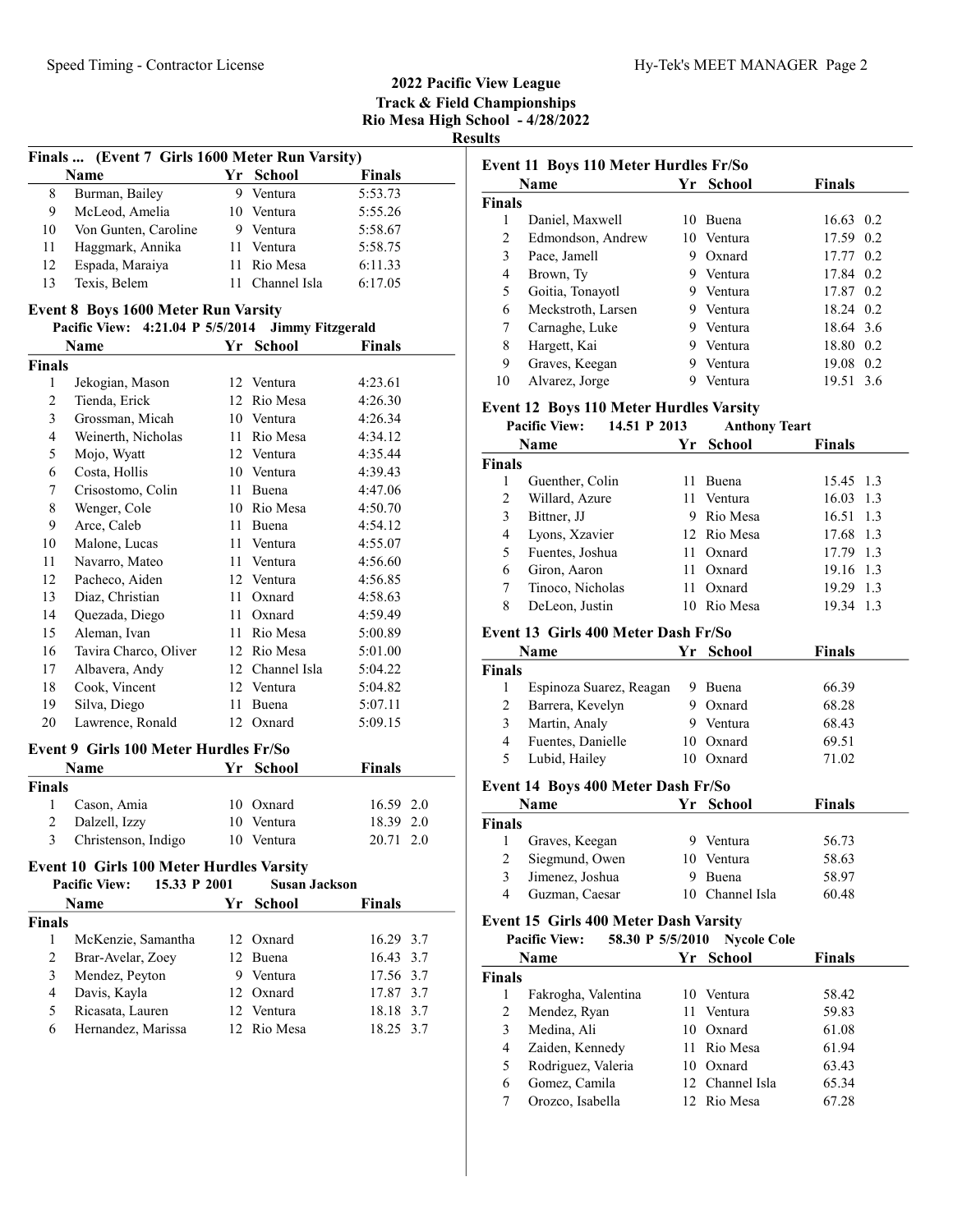|                | Finals  (Event 7 Girls 1600 Meter Run Varsity)                          |      |                         |               |
|----------------|-------------------------------------------------------------------------|------|-------------------------|---------------|
|                | Name                                                                    |      | Yr School               | <b>Finals</b> |
| 8              | Burman, Bailey                                                          |      | 9 Ventura               | 5:53.73       |
| 9              | McLeod, Amelia                                                          |      | 10 Ventura              | 5:55.26       |
| 10             | Von Gunten, Caroline                                                    |      | 9 Ventura               | 5:58.67       |
| 11             | Haggmark, Annika                                                        |      | 11 Ventura              | 5:58.75       |
| 12             | Espada, Maraiya                                                         |      | 11 Rio Mesa             | 6:11.33       |
| 13             | Texis, Belem                                                            | 11 - | Channel Isla            | 6:17.05       |
|                |                                                                         |      |                         |               |
|                | Event 8 Boys 1600 Meter Run Varsity<br>Pacific View: 4:21.04 P 5/5/2014 |      | <b>Jimmy Fitzgerald</b> |               |
|                | <b>Name</b>                                                             |      | Yr School               | <b>Finals</b> |
| <b>Finals</b>  |                                                                         |      |                         |               |
| 1              | Jekogian, Mason                                                         |      | 12 Ventura              | 4:23.61       |
| $\overline{2}$ | Tienda, Erick                                                           |      | 12 Rio Mesa             | 4:26.30       |
| 3              | Grossman, Micah                                                         |      | 10 Ventura              | 4:26.34       |
| 4              | Weinerth, Nicholas                                                      |      | 11 Rio Mesa             | 4:34.12       |
| 5              | Mojo, Wyatt                                                             |      | 12 Ventura              | 4:35.44       |
| 6              | Costa, Hollis                                                           |      | 10 Ventura              | 4:39.43       |
| 7              | Crisostomo, Colin                                                       |      | 11 Buena                | 4:47.06       |
| 8              | Wenger, Cole                                                            |      | 10 Rio Mesa             | 4:50.70       |
| 9              | Arce, Caleb                                                             |      | 11 Buena                | 4:54.12       |
| 10             | Malone, Lucas                                                           |      | 11 Ventura              | 4:55.07       |
| 11             | Navarro, Mateo                                                          |      | 11 Ventura              | 4:56.60       |
| 12             | Pacheco, Aiden                                                          |      | 12 Ventura              | 4:56.85       |
| 13             | Diaz, Christian                                                         |      | 11 Oxnard               | 4:58.63       |
| 14             | Quezada, Diego                                                          |      | 11 Oxnard               | 4:59.49       |
| 15             | Aleman, Ivan                                                            |      | 11 Rio Mesa             | 5:00.89       |
| 16             | Tavira Charco, Oliver                                                   |      | 12 Rio Mesa             | 5:01.00       |
|                | Albavera, Andy                                                          |      | 12 Channel Isla         |               |
| 17<br>18       | Cook, Vincent                                                           |      | 12 Ventura              | 5:04.22       |
|                |                                                                         |      |                         | 5:04.82       |
| 19<br>20       | Silva, Diego                                                            | 11 - | Buena<br>12 Oxnard      | 5:07.11       |
|                | Lawrence, Ronald                                                        |      |                         | 5:09.15       |
|                | <b>Event 9 Girls 100 Meter Hurdles Fr/So</b>                            |      |                         |               |
|                | Name                                                                    |      | Yr School               | <b>Finals</b> |
| <b>Finals</b>  |                                                                         |      |                         |               |
| 1              | Cason, Amia                                                             |      | 10 Oxnard               | 16.59 2.0     |
| 2              | Dalzell, Izzy                                                           |      | 10 Ventura              | 18.39 2.0     |
| 3              | Christenson, Indigo                                                     |      | 10 Ventura              | 2.0<br>20.71  |
|                | Event 10 Girls 100 Meter Hurdles Varsity                                |      |                         |               |
|                | <b>Pacific View:</b><br>15.33 P 2001                                    |      | <b>Susan Jackson</b>    |               |
|                | Name                                                                    | Yr   | <b>School</b>           | <b>Finals</b> |
| <b>Finals</b>  |                                                                         |      |                         |               |
| 1              | McKenzie, Samantha                                                      |      | 12 Oxnard               | 16.29 3.7     |
| $\overline{c}$ | Brar-Avelar, Zoey                                                       |      | 12 Buena                | 16.43 3.7     |
| 3              | Mendez, Peyton                                                          |      | 9 Ventura               | 17.56 3.7     |
| 4              | Davis, Kayla                                                            |      | 12 Oxnard               | 17.87 3.7     |
| 5              | Ricasata, Lauren                                                        |      | 12 Ventura              | 18.18 3.7     |
| 6              | Hernandez, Marissa                                                      |      | 12 Rio Mesa             | 18.25 3.7     |
|                |                                                                         |      |                         |               |
|                |                                                                         |      |                         |               |

|                                          | Event 11 Boys 110 Meter Hurdles Fr/So<br><b>Name</b>                                   |      | Yr School                   | <b>Finals</b>  |
|------------------------------------------|----------------------------------------------------------------------------------------|------|-----------------------------|----------------|
| <b>Finals</b>                            |                                                                                        |      |                             |                |
| 1                                        | Daniel, Maxwell                                                                        |      | 10 Buena                    | 16.63 0.2      |
| $\mathfrak{2}$                           | Edmondson, Andrew                                                                      |      | 10 Ventura                  | 17.59 0.2      |
| 3                                        | Pace, Jamell                                                                           |      | 9 Oxnard                    | 17.77 0.2      |
| 4                                        | Brown, Ty                                                                              |      | 9 Ventura                   | 17.84 0.2      |
| 5                                        | Goitia, Tonayotl                                                                       |      | 9 Ventura                   | 17.87 0.2      |
| 6                                        | Meckstroth, Larsen                                                                     |      | 9 Ventura                   | 18.24 0.2      |
| 7                                        | Carnaghe, Luke                                                                         |      | 9 Ventura                   | 18.64 3.6      |
| 8                                        | Hargett, Kai                                                                           |      | 9 Ventura                   | 18.80 0.2      |
| 9                                        | Graves, Keegan                                                                         |      | 9 Ventura                   | 19.08 0.2      |
| 10                                       | Alvarez, Jorge                                                                         |      | 9 Ventura                   | 19.51 3.6      |
|                                          |                                                                                        |      |                             |                |
|                                          | <b>Event 12 Boys 110 Meter Hurdles Varsity</b><br><b>Pacific View:</b><br>14.51 P 2013 |      | <b>Anthony Teart</b>        |                |
|                                          |                                                                                        |      |                             |                |
|                                          | <b>Name</b>                                                                            | Yr   | <b>School</b>               | <b>Finals</b>  |
| <b>Finals</b>                            |                                                                                        |      |                             |                |
| 1                                        | Guenther, Colin                                                                        |      | 11 Buena                    | 15.45 1.3      |
| $\mathfrak{2}$                           | Willard, Azure                                                                         |      | 11 Ventura                  | 16.03 1.3      |
| 3                                        | Bittner, JJ                                                                            |      | 9 Rio Mesa                  | 16.51 1.3      |
| 4                                        | Lyons, Xzavier                                                                         |      | 12 Rio Mesa                 | 17.68 1.3      |
| 5                                        | Fuentes, Joshua                                                                        |      | 11 Oxnard                   | 17.79 1.3      |
| 6                                        | Giron, Aaron                                                                           | 11 - | Oxnard                      | 19.16 1.3      |
| 7                                        | Tinoco, Nicholas                                                                       |      | 11 Oxnard                   | 19.29 1.3      |
| 8                                        | DeLeon, Justin                                                                         |      | 10 Rio Mesa                 | 19.34 1.3      |
|                                          | Event 13 Girls 400 Meter Dash Fr/So                                                    |      |                             |                |
|                                          | Name                                                                                   | Yr   | <b>School</b>               | <b>Finals</b>  |
| <b>Finals</b>                            |                                                                                        |      |                             |                |
| 1                                        | Espinoza Suarez, Reagan                                                                |      | 9 Buena                     | 66.39          |
| 2                                        | Barrera, Kevelyn                                                                       |      | 9 Oxnard                    | 68.28          |
| 3                                        | Martin, Analy                                                                          |      | 9 Ventura                   | 68.43          |
| 4                                        | Fuentes, Danielle                                                                      |      | 10 Oxnard                   | 69.51          |
| 5                                        | Lubid, Hailey                                                                          |      | 10 Oxnard                   | 71.02          |
|                                          |                                                                                        |      |                             |                |
|                                          | Event 14 Boys 400 Meter Dash Fr/So                                                     |      |                             |                |
|                                          | Name                                                                                   |      | Yr School                   | <b>Finals</b>  |
|                                          |                                                                                        |      |                             |                |
| 1                                        | Graves, Keegan                                                                         | 9.   | Ventura                     | 56.73          |
| $\boldsymbol{2}$                         | Siegmund, Owen                                                                         |      | 10 Ventura                  | 58.63          |
| 3                                        | Jimenez, Joshua                                                                        |      | 9 Buena                     | 58.97          |
| $\overline{4}$                           | Guzman, Caesar                                                                         |      | 10 Channel Isla             | 60.48          |
|                                          | <b>Event 15 Girls 400 Meter Dash Varsity</b>                                           |      |                             |                |
|                                          | <b>Pacific View:</b><br>58.30 P 5/5/2010                                               |      | <b>Nycole Cole</b>          |                |
|                                          | <b>Name</b>                                                                            | Yr   | <b>School</b>               | <b>Finals</b>  |
|                                          |                                                                                        |      |                             |                |
| 1                                        | Fakrogha, Valentina                                                                    |      | 10 Ventura                  | 58.42          |
| $\overline{c}$                           | Mendez, Ryan                                                                           | 11 - | Ventura                     | 59.83          |
| 3                                        | Medina, Ali                                                                            |      | 10 Oxnard                   | 61.08          |
| 4                                        | Zaiden, Kennedy                                                                        | 11 - | Rio Mesa                    | 61.94          |
| 5                                        | Rodriguez, Valeria                                                                     |      | 10 Oxnard                   | 63.43          |
| <b>Finals</b><br><b>Finals</b><br>6<br>7 | Gomez, Camila<br>Orozco, Isabella                                                      | 12   | Channel Isla<br>12 Rio Mesa | 65.34<br>67.28 |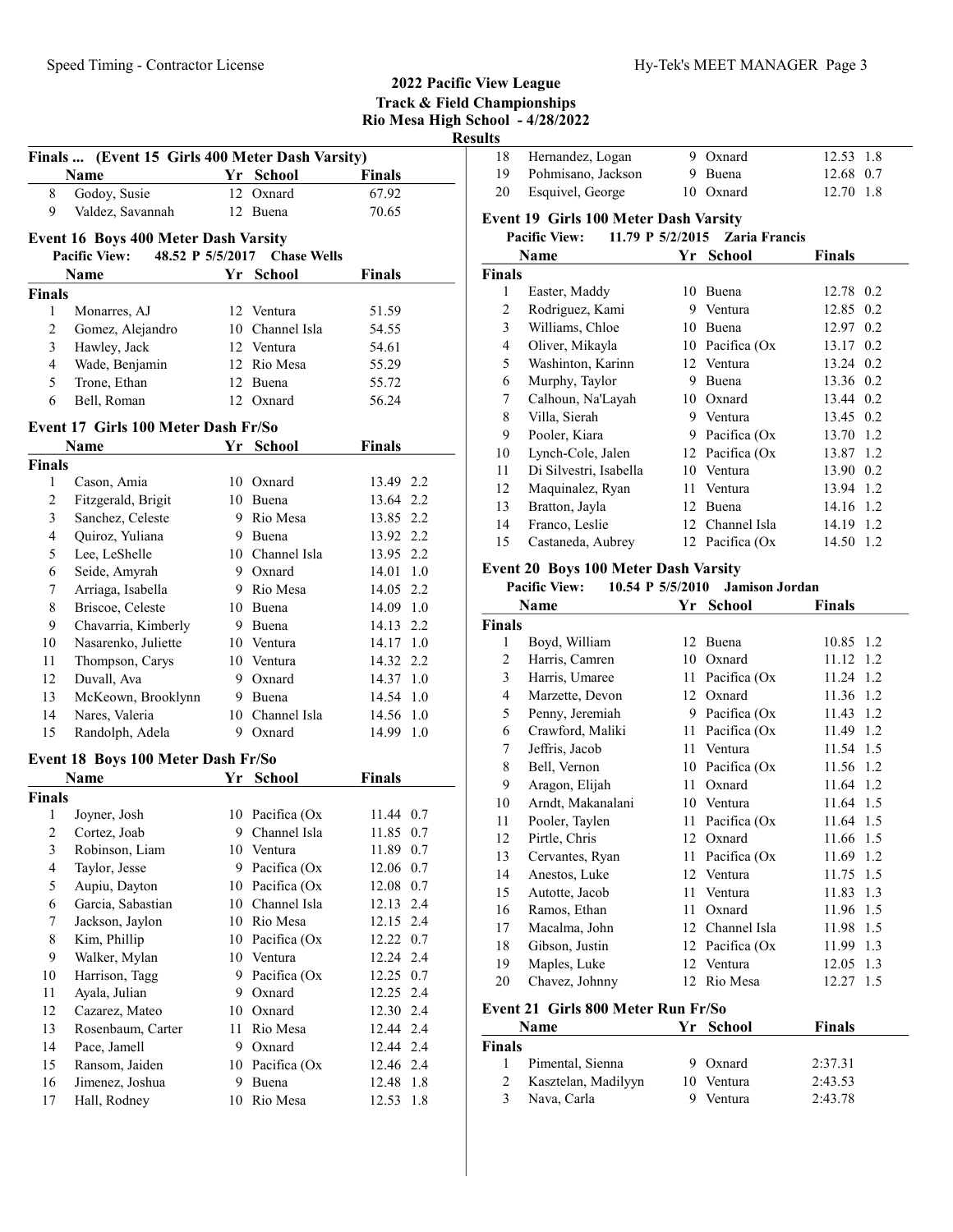|                         |                                                 |    |                              | <b>Rio Mesa High</b> | R       |
|-------------------------|-------------------------------------------------|----|------------------------------|----------------------|---------|
|                         | Finals  (Event 15 Girls 400 Meter Dash Varsity) |    |                              |                      |         |
|                         | Name                                            |    | Yr School                    | <b>Finals</b>        |         |
| 8                       | Godoy, Susie                                    | 12 | Oxnard                       | 67.92                |         |
| 9                       | Valdez, Savannah                                | 12 | Buena                        | 70.65                |         |
|                         | <b>Event 16 Boys 400 Meter Dash Varsity</b>     |    |                              |                      |         |
|                         | <b>Pacific View:</b>                            |    | 48.52 P 5/5/2017 Chase Wells |                      |         |
|                         | Name                                            |    | Yr School                    | <b>Finals</b>        |         |
| Finals                  |                                                 |    |                              |                      |         |
| 1                       | Monarres, AJ                                    |    | 12 Ventura                   | 51.59                |         |
| $\mathfrak{2}$          | Gomez, Alejandro                                |    | 10 Channel Isla              | 54.55                |         |
| 3                       | Hawley, Jack                                    |    | 12 Ventura                   | 54.61                |         |
| 4                       | Wade, Benjamin                                  |    | 12 Rio Mesa                  | 55.29                |         |
| 5                       | Trone, Ethan                                    |    | 12 Buena                     | 55.72                |         |
| 6                       | Bell, Roman                                     |    | 12 Oxnard                    | 56.24                |         |
|                         | Event 17 Girls 100 Meter Dash Fr/So             |    |                              |                      |         |
|                         | Name                                            | Yr | <b>School</b>                | <b>Finals</b>        |         |
| <b>Finals</b>           |                                                 |    |                              |                      |         |
| 1                       | Cason, Amia                                     |    | 10 Oxnard                    | 13.49 2.2            |         |
| $\mathfrak{2}$          | Fitzgerald, Brigit                              |    | 10 Buena                     | 13.64 2.2            |         |
| 3                       | Sanchez, Celeste                                |    | 9 Rio Mesa                   | 13.85 2.2            |         |
| 4                       | Quiroz, Yuliana                                 |    | 9 Buena                      | 13.92 2.2            |         |
| 5                       | Lee, LeShelle                                   |    | 10 Channel Isla              | 13.95 2.2            |         |
| 6                       | Seide, Amyrah                                   |    | 9 Oxnard                     | 14.01 1.0            |         |
| 7                       | Arriaga, Isabella                               |    | 9 Rio Mesa                   | 14.05 2.2            |         |
| 8                       | Briscoe, Celeste                                |    | 10 Buena                     | 14.09 1.0            |         |
| 9                       | Chavarria, Kimberly                             |    | 9 Buena                      | 14.13 2.2            |         |
| 10                      | Nasarenko, Juliette                             |    | 10 Ventura                   | 14.17 1.0            |         |
| 11                      | Thompson, Carys                                 |    | 10 Ventura                   | 14.32 2.2            |         |
| 12                      | Duvall, Ava                                     |    | 9 Oxnard                     | 14.37 1.0            |         |
| 13                      | McKeown, Brooklynn                              |    | 9 Buena                      | 14.54 1.0            |         |
| 14                      | Nares, Valeria                                  |    | 10 Channel Isla              | 14.56 1.0            |         |
| 15                      | Randolph, Adela                                 |    | 9 Oxnard                     | 14.99 1.0            |         |
|                         | Event 18 Boys 100 Meter Dash Fr/So              |    |                              |                      |         |
|                         | Name                                            |    | Yr School                    | <b>Finals</b>        |         |
| Finals                  |                                                 |    |                              |                      |         |
| $\mathbf{1}$            | Joyner, Josh                                    |    | 10 Pacifica (Ox              | 11.44                | 0.7     |
| $\sqrt{2}$              | Cortez, Joab                                    | 9  | Channel Isla                 | 11.85                | 0.7     |
| $\mathfrak{Z}$          | Robinson, Liam                                  | 10 | Ventura                      | 11.89                | 0.7     |
| $\overline{\mathbf{4}}$ | Taylor, Jesse                                   | 9. | Pacifica (Ox                 | 12.06                | 0.7     |
| 5                       | Aupiu, Dayton                                   | 10 | Pacifica (Ox                 | 12.08                | 0.7     |
| 6                       | Garcia, Sabastian                               | 10 | Channel Isla                 | 12.13                | $2.4\,$ |
| 7                       | Jackson, Jaylon                                 | 10 | Rio Mesa                     | 12.15                | 2.4     |
| $\,$ $\,$               | Kim, Phillip                                    | 10 | Pacifica (Ox                 | 12.22                | 0.7     |
| 9                       | Walker, Mylan                                   |    | 10 Ventura                   | 12.24                | 2.4     |
| 10                      | Harrison, Tagg                                  | 9  | Pacifica (Ox                 | 12.25 0.7            |         |
| 11                      | Ayala, Julian                                   | 9  | Oxnard                       | 12.25                | 2.4     |
| 12                      | Cazarez, Mateo                                  | 10 | Oxnard                       | 12.30                | 2.4     |
| 13                      | Rosenbaum, Carter                               | 11 | Rio Mesa                     | 12.44                | 2.4     |
| 14                      | Pace, Jamell                                    | 9  | Oxnard                       | 12.44                | 2.4     |
| 15                      | Ransom, Jaiden                                  | 10 | Pacifica (Ox                 | 12.46                | 2.4     |
| 16                      | Jimenez, Joshua                                 | 9  | Buena                        | 12.48                | 1.8     |
| 17                      | Hall, Rodney                                    | 10 | Rio Mesa                     | 12.53                | 1.8     |
|                         |                                                 |    |                              |                      |         |

| 18                  | Hernandez, Logan                            | 9        | Oxnard                | 12.53<br>1.8       |
|---------------------|---------------------------------------------|----------|-----------------------|--------------------|
| 19                  | Pohmisano, Jackson                          |          | 9 Buena               | 12.68 0.7          |
| 20                  | Esquivel, George                            |          | 10 Oxnard             | 12.70 1.8          |
|                     |                                             |          |                       |                    |
|                     | Event 19 Girls 100 Meter Dash Varsity       |          |                       |                    |
|                     | 11.79 P 5/2/2015<br><b>Pacific View:</b>    |          | <b>Zaria Francis</b>  |                    |
|                     | Name                                        | Yr       | School                | Finals             |
| <b>Finals</b>       |                                             |          |                       |                    |
| 1                   | Easter, Maddy                               |          | 10 Buena              | 12.78 0.2          |
| 2                   | Rodriguez, Kami                             |          | 9 Ventura             | 12.85 0.2          |
| 3                   | Williams, Chloe                             |          | 10 Buena              | 12.97 0.2          |
| 4                   | Oliver, Mikayla                             |          | 10 Pacifica (Ox       | 13.17 0.2          |
| 5                   | Washinton, Karinn                           |          | 12 Ventura            | 13.24 0.2          |
| 6                   | Murphy, Taylor                              |          | 9 Buena               | 13.36 0.2          |
| 7                   | Calhoun, Na'Layah                           |          | 10 Oxnard             | 13.44 0.2          |
| 8                   | Villa, Sierah                               |          | 9 Ventura             | 13.45 0.2          |
| 9                   | Pooler, Kiara                               |          | 9 Pacifica (Ox        | 13.70 1.2          |
| 10                  | Lynch-Cole, Jalen                           |          | 12 Pacifica (Ox       | 13.87 1.2          |
| 11                  | Di Silvestri, Isabella                      |          | 10 Ventura            | 13.90 0.2          |
| 12                  | Maquinalez, Ryan                            |          | 11 Ventura            | 13.94 1.2          |
| 13                  | Bratton, Jayla                              |          | 12 Buena              | 14.16 1.2          |
| 14                  | Franco, Leslie                              |          | 12 Channel Isla       | 14.19 1.2          |
| 15                  | Castaneda, Aubrey                           |          | 12 Pacifica (Ox       | 14.50 1.2          |
|                     | <b>Event 20 Boys 100 Meter Dash Varsity</b> |          |                       |                    |
|                     | 10.54 P 5/5/2010<br><b>Pacific View:</b>    |          | <b>Jamison Jordan</b> |                    |
|                     | Name                                        |          | Yr School             | <b>Finals</b>      |
| <b>Finals</b>       |                                             |          |                       |                    |
| 1                   | Boyd, William                               | 12       | Buena                 | 10.85 1.2          |
| 2                   | Harris, Camren                              |          | 10 Oxnard             | 11.12<br>1.2       |
| 3                   | Harris, Umaree                              |          | 11 Pacifica (Ox       | 11.24 1.2          |
| 4                   |                                             |          | 12 Oxnard             |                    |
|                     | Marzette, Devon                             |          |                       | 11.36 1.2          |
| 5                   | Penny, Jeremiah                             |          | 9 Pacifica (Ox        | 11.43 1.2          |
| 6                   | Crawford, Maliki                            |          | 11 Pacifica (Ox       | 11.49 1.2          |
| 7                   | Jeffris, Jacob                              |          | 11 Ventura            | 11.54 1.5          |
| 8                   | Bell, Vernon                                |          | 10 Pacifica (Ox       | 11.56 1.2          |
| 9                   | Aragon, Elijah                              |          | 11 Oxnard             | 11.64 1.2          |
| 10                  | Arndt, Makanalani                           |          | 10 Ventura            | 11.64 1.5          |
| 11                  | Pooler, Taylen                              | 11       | Pacifica (Ox          | 11.64 1.5          |
| 12                  | Pirtle, Chris                               |          | 12 Oxnard             | 11.66 1.5          |
| 13                  | Cervantes, Ryan                             | 11       | Pacifica (Ox          | 11.69<br>1.2       |
| 14                  | Anestos, Luke                               | 12       | Ventura               | 11.75<br>1.5       |
| 15                  | Autotte, Jacob                              | 11       | Ventura               | 11.83<br>1.3       |
| 16                  | Ramos, Ethan                                | 11       | Oxnard                | 11.96<br>1.5       |
| 17                  | Macalma, John                               |          | 12 Channel Isla       | 1.5<br>11.98       |
| 18                  | Gibson, Justin                              | 12       | Pacifica (Ox          | 11.99<br>1.3       |
| 19                  | Maples, Luke                                | 12       | Ventura               | 12.05<br>1.3       |
| 20                  | Chavez, Johnny                              |          | 12 Rio Mesa           | 12.27<br>1.5       |
|                     |                                             |          |                       |                    |
|                     | Event 21 Girls 800 Meter Run Fr/So          |          |                       |                    |
|                     | Name                                        | Yr       | <b>School</b>         | <b>Finals</b>      |
| <b>Finals</b>       |                                             |          |                       |                    |
| 1                   | Pimental, Sienna                            | 9        | Oxnard                | 2:37.31            |
| $\overline{2}$<br>3 | Kasztelan, Madilyyn<br>Nava, Carla          | 10<br>9. | Ventura<br>Ventura    | 2:43.53<br>2:43.78 |

Track & Field Championships School - 4/28/2022 esults

2022 Pacific View League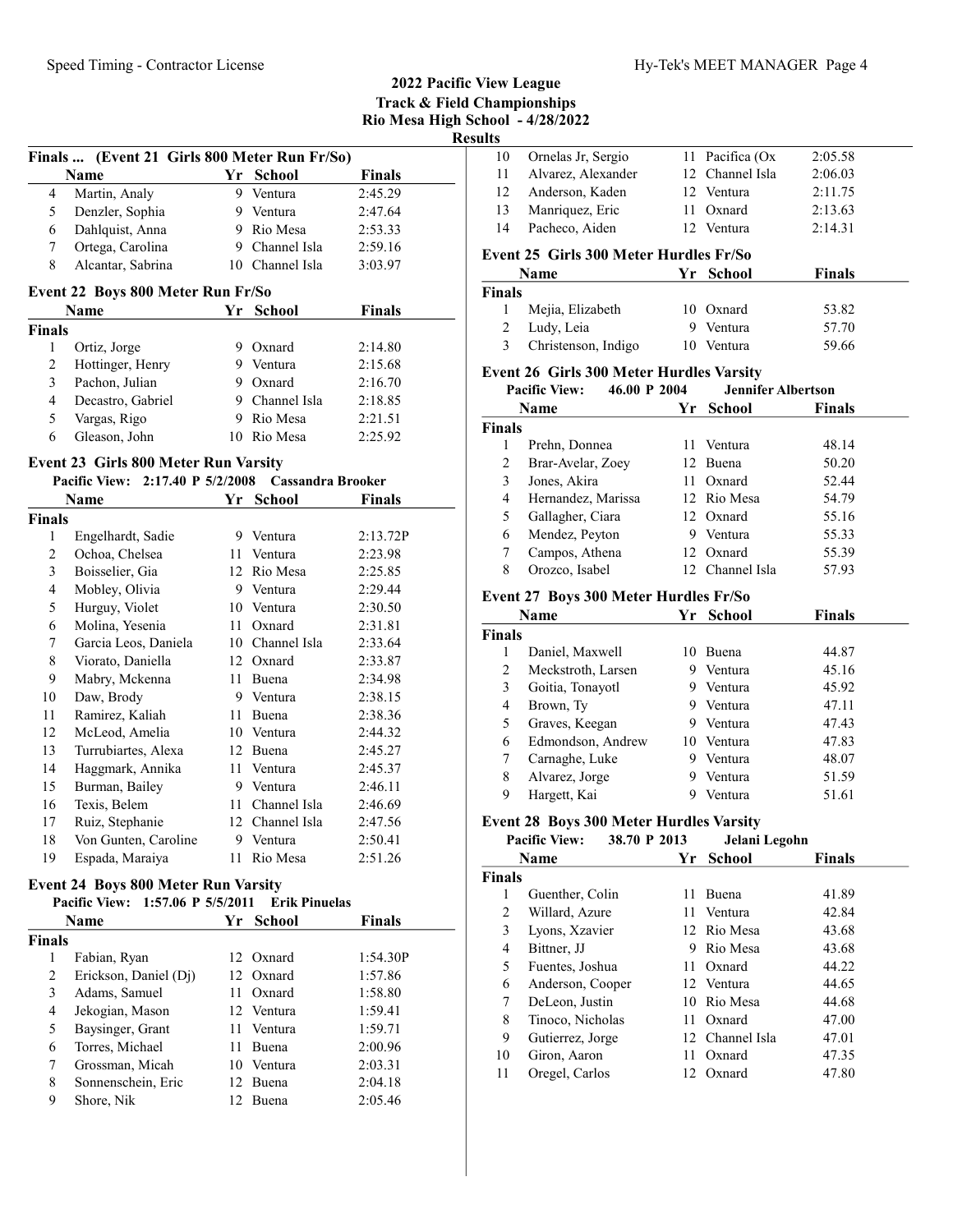|   |                                              |    |                 |               | 2022 Pacific View League<br><b>Track &amp; Field Championships</b><br>Rio Mesa High School - 4/28/2022<br><b>Results</b> |                    |
|---|----------------------------------------------|----|-----------------|---------------|--------------------------------------------------------------------------------------------------------------------------|--------------------|
|   | Finals  (Event 21 Girls 800 Meter Run Fr/So) |    |                 |               | 10                                                                                                                       | Ornelas Jr, Serg   |
|   | <b>Name</b>                                  | Yr | School          | <b>Finals</b> | 11                                                                                                                       | Alvarez, Alexa     |
| 4 | Martin, Analy                                | 9  | Ventura         | 2:45.29       | 12                                                                                                                       | Anderson, Kad      |
| 5 | Denzler, Sophia                              | 9  | Ventura         | 2:47.64       | 13                                                                                                                       | Manriquez, Eri     |
| 6 | Dahlquist, Anna                              | 9. | Rio Mesa        | 2:53.33       | 14                                                                                                                       | Pacheco, Aider     |
|   | Ortega, Carolina                             | 9. | Channel Isla    | 2:59.16       |                                                                                                                          | Event 25 Girls 300 |
| 8 | Alcantar, Sabrina                            |    | 10 Channel Isla | 3:03.97       |                                                                                                                          | <b>Name</b>        |

#### Event 22 Boys 800 Meter Run Fr/So

|               | <b>Name</b>       |   | Yr School      | <b>Finals</b> |  |
|---------------|-------------------|---|----------------|---------------|--|
| <b>Finals</b> |                   |   |                |               |  |
|               | Ortiz, Jorge      | 9 | Oxnard         | 2:14.80       |  |
| 2             | Hottinger, Henry  |   | Ventura        | 2:15.68       |  |
| 3             | Pachon, Julian    | 9 | Oxnard         | 2:16.70       |  |
| 4             | Decastro, Gabriel |   | 9 Channel Isla | 2:18.85       |  |
| 5             | Vargas, Rigo      | 9 | Rio Mesa       | 2:21.51       |  |
| 6             | Gleason, John     |   | Rio Mesa       | 2:25.92       |  |

|               | Name                 | Yr | <b>School</b> | <b>Finals</b> |
|---------------|----------------------|----|---------------|---------------|
| <b>Finals</b> |                      |    |               |               |
| 1             | Engelhardt, Sadie    | 9  | Ventura       | 2:13.72P      |
| 2             | Ochoa, Chelsea       | 11 | Ventura       | 2:23.98       |
| 3             | Boisselier, Gia      | 12 | Rio Mesa      | 2:25.85       |
| 4             | Mobley, Olivia       | 9  | Ventura       | 2:29.44       |
| 5             | Hurguy, Violet       | 10 | Ventura       | 2:30.50       |
| 6             | Molina, Yesenia      | 11 | Oxnard        | 2:31.81       |
| 7             | Garcia Leos, Daniela | 10 | Channel Isla  | 2:33.64       |
| 8             | Viorato, Daniella    | 12 | Oxnard        | 2:33.87       |
| 9             | Mabry, Mckenna       | 11 | Buena         | 2:34.98       |
| 10            | Daw, Brody           | 9  | Ventura       | 2:38.15       |
| 11            | Ramirez, Kaliah      | 11 | Buena         | 2:38.36       |
| 12            | McLeod, Amelia       | 10 | Ventura       | 2:44.32       |
| 13            | Turrubiartes, Alexa  | 12 | Buena         | 2:45.27       |
| 14            | Haggmark, Annika     | 11 | Ventura       | 2:45.37       |
| 15            | Burman, Bailey       | 9  | Ventura       | 2:46.11       |
| 16            | Texis, Belem         | 11 | Channel Isla  | 2:46.69       |
| 17            | Ruiz, Stephanie      | 12 | Channel Isla  | 2:47.56       |
| 18            | Von Gunten, Caroline | 9  | Ventura       | 2:50.41       |
| 19            | Espada, Maraiya      | 11 | Rio Mesa      | 2:51.26       |

# **Event 24 Boys 800 Meter Run Varsity<br>Pacific View: 1:57.06 P 5/5/2011 Fr**

|               |                       |      |       | <b>Finals</b>                                                                                                                                                         |
|---------------|-----------------------|------|-------|-----------------------------------------------------------------------------------------------------------------------------------------------------------------------|
| <b>Finals</b> |                       |      |       |                                                                                                                                                                       |
|               | Fabian, Ryan          |      |       | 1:54.30P                                                                                                                                                              |
| 2             | Erickson, Daniel (Dj) |      |       | 1:57.86                                                                                                                                                               |
| 3             | Adams, Samuel         | 11   |       | 1:58.80                                                                                                                                                               |
| 4             | Jekogian, Mason       |      |       | 1:59.41                                                                                                                                                               |
| 5             | Baysinger, Grant      |      |       | 1:59.71                                                                                                                                                               |
| 6             | Torres, Michael       | 11.  |       | 2:00.96                                                                                                                                                               |
| 7             | Grossman, Micah       |      |       | 2:03.31                                                                                                                                                               |
| 8             | Sonnenschein, Eric    |      |       | 2:04.18                                                                                                                                                               |
| 9             | Shore, Nik            |      | Buena | 2:05.46                                                                                                                                                               |
|               |                       | Name |       | Pacific View: 1:57.06 P 5/5/2011 Erik Pinuelas<br>Yr School<br>12 Oxnard<br>12 Oxnard<br>Oxnard<br>12 Ventura<br>11 Ventura<br><b>Buena</b><br>10 Ventura<br>12 Buena |

| resuns             |                                                                                        |    |                           |               |
|--------------------|----------------------------------------------------------------------------------------|----|---------------------------|---------------|
| 10                 | Ornelas Jr, Sergio                                                                     |    | 11 Pacifica (Ox           | 2:05.58       |
| 11                 | Alvarez, Alexander                                                                     |    | 12 Channel Isla           | 2:06.03       |
| 12                 | Anderson, Kaden                                                                        |    | 12 Ventura                | 2:11.75       |
| 13                 | Manriquez, Eric                                                                        | 11 | Oxnard                    | 2:13.63       |
| 14                 | Pacheco, Aiden                                                                         |    | 12 Ventura                | 2:14.31       |
|                    | Event 25 Girls 300 Meter Hurdles Fr/So                                                 |    |                           |               |
|                    | Name                                                                                   | Yr | <b>School</b>             | <b>Finals</b> |
| <b>Finals</b>      |                                                                                        |    |                           |               |
| 1                  | Mejia, Elizabeth                                                                       |    | 10 Oxnard                 | 53.82         |
| 2                  | Ludy, Leia                                                                             |    | 9 Ventura                 | 57.70         |
| 3                  | Christenson, Indigo                                                                    | 10 | Ventura                   | 59.66         |
|                    | Event 26 Girls 300 Meter Hurdles Varsity                                               |    |                           |               |
|                    | 46.00 P 2004<br><b>Pacific View:</b>                                                   |    | <b>Jennifer Albertson</b> |               |
|                    | Name                                                                                   | Yr | <b>School</b>             | <b>Finals</b> |
| <b>Finals</b>      |                                                                                        |    |                           |               |
| 1                  | Prehn, Donnea                                                                          | 11 | Ventura                   | 48.14         |
| $\mathfrak{2}$     | Brar-Avelar, Zoey                                                                      |    | 12 Buena                  | 50.20         |
| 3                  | Jones, Akira                                                                           |    | 11 Oxnard                 | 52.44         |
| 4                  | Hernandez, Marissa                                                                     |    | 12 Rio Mesa               | 54.79         |
| 5                  | Gallagher, Ciara                                                                       |    | 12 Oxnard                 | 55.16         |
| 6                  | Mendez, Peyton                                                                         |    | 9 Ventura                 | 55.33         |
| 7                  | Campos, Athena                                                                         |    | 12 Oxnard                 | 55.39         |
| 8                  | Orozco, Isabel                                                                         |    | 12 Channel Isla           | 57.93         |
|                    | Event 27 Boys 300 Meter Hurdles Fr/So                                                  |    |                           |               |
|                    | Name                                                                                   |    | Yr School                 | <b>Finals</b> |
|                    |                                                                                        |    |                           |               |
|                    |                                                                                        |    |                           |               |
| <b>Finals</b><br>1 | Daniel, Maxwell                                                                        |    | 10 Buena                  | 44.87         |
| 2                  | Meckstroth, Larsen                                                                     |    | 9 Ventura                 | 45.16         |
| 3                  |                                                                                        | 9  | Ventura                   | 45.92         |
| 4                  | Goitia, Tonayotl<br>Brown, Ty                                                          | 9  | Ventura                   | 47.11         |
| 5                  | Graves, Keegan                                                                         | 9  | Ventura                   | 47.43         |
| 6                  | Edmondson, Andrew                                                                      |    | 10 Ventura                | 47.83         |
| 7                  |                                                                                        |    | 9 Ventura                 | 48.07         |
| 8                  | Carnaghe, Luke                                                                         |    |                           | 51.59         |
| 9                  | Alvarez, Jorge<br>Hargett, Kai                                                         | 9  | 9 Ventura<br>Ventura      | 51.61         |
|                    |                                                                                        |    |                           |               |
|                    | <b>Event 28 Boys 300 Meter Hurdles Varsity</b><br>38.70 P 2013<br><b>Pacific View:</b> |    | Jelani Legohn             |               |

| `inals |                  |    |                 |       |
|--------|------------------|----|-----------------|-------|
| 1      | Guenther, Colin  | 11 | <b>Buena</b>    | 41.89 |
| 2      | Willard, Azure   |    | 11 Ventura      | 42.84 |
| 3      | Lyons, Xzavier   |    | 12 Rio Mesa     | 43.68 |
| 4      | Bittner, JJ      | 9  | Rio Mesa        | 43.68 |
| 5      | Fuentes, Joshua  |    | 11 Oxnard       | 44.22 |
| 6      | Anderson, Cooper |    | 12 Ventura      | 44.65 |
| 7      | DeLeon, Justin   |    | 10 Rio Mesa     | 44.68 |
| 8      | Tinoco, Nicholas |    | 11 Oxnard       | 47.00 |
| 9      | Gutierrez, Jorge |    | 12 Channel Isla | 47.01 |
| 10     | Giron, Aaron     |    | 11 Oxnard       | 47.35 |
| 11     | Oregel, Carlos   |    | 12 Oxnard       | 47.80 |
|        |                  |    |                 |       |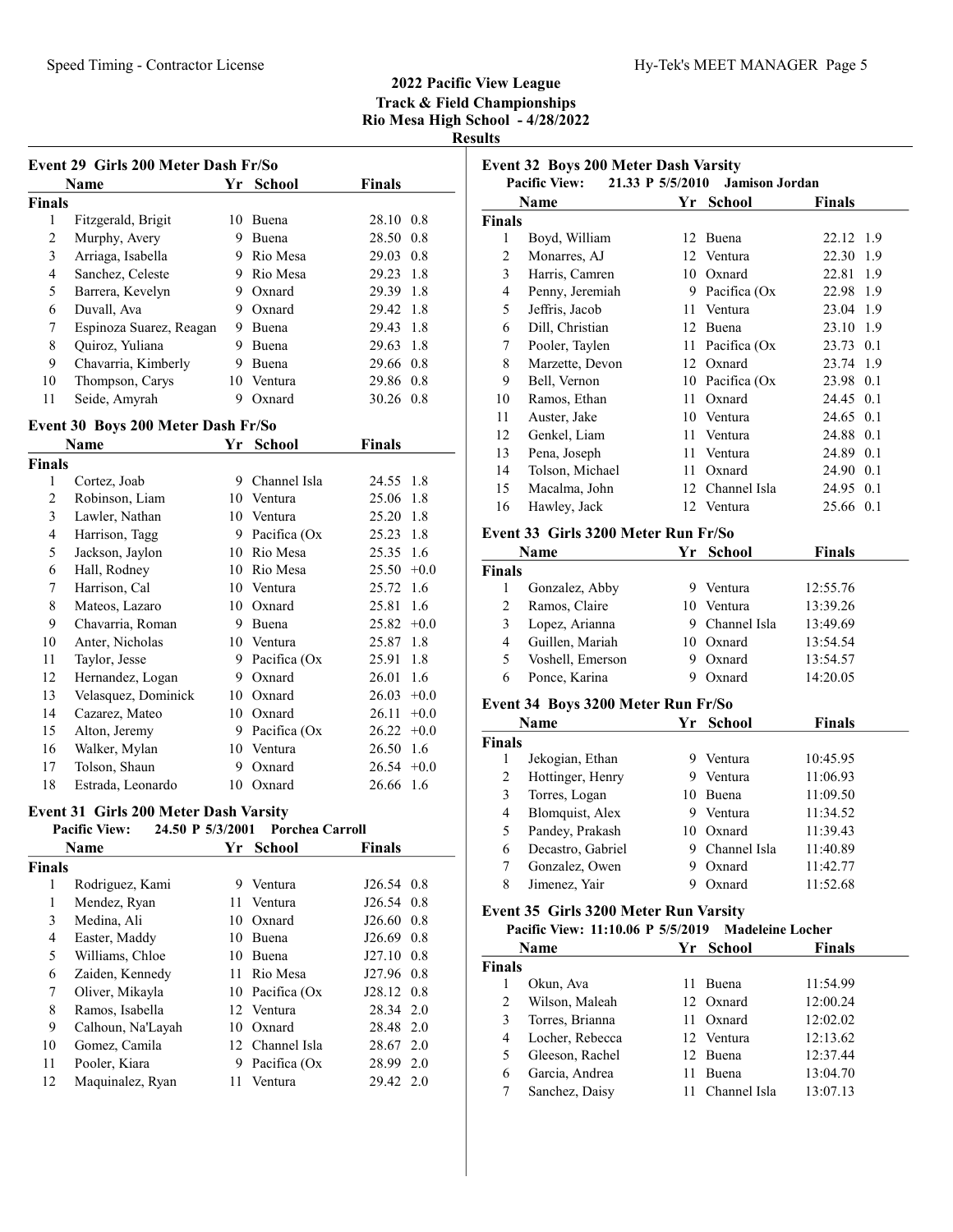Event 32 Boys 200 Meter Dash Varsity

Pacific View: 21.33 P 5/5/2010 Jamison Jordan

| Event 29 Girls 200 Meter Dash Fr/So |                                              |    |                 |               |        |
|-------------------------------------|----------------------------------------------|----|-----------------|---------------|--------|
|                                     | Name                                         | Yr | <b>School</b>   | Finals        |        |
| Finals                              |                                              |    |                 |               |        |
| 1                                   | Fitzgerald, Brigit                           |    | 10 Buena        | 28.10 0.8     |        |
| $\overline{2}$                      | Murphy, Avery                                |    | 9 Buena         | 28.50 0.8     |        |
| $\overline{\mathbf{3}}$             | Arriaga, Isabella                            |    | 9 Rio Mesa      | 29.03 0.8     |        |
| 4                                   | Sanchez, Celeste                             |    | 9 Rio Mesa      | 29.23         | 1.8    |
| 5                                   | Barrera, Kevelyn                             |    | 9 Oxnard        | 29.39 1.8     |        |
| 6                                   | Duvall, Ava                                  | 9  | Oxnard          | 29.42         | 1.8    |
| 7                                   | Espinoza Suarez, Reagan                      |    | 9 Buena         | 29.43         | 1.8    |
| 8                                   | Quiroz, Yuliana                              | 9  | Buena           | 29.63 1.8     |        |
| 9                                   | Chavarria, Kimberly                          | 9  | Buena           | 29.66 0.8     |        |
| 10                                  | Thompson, Carys                              |    | 10 Ventura      | 29.86 0.8     |        |
| 11                                  | Seide, Amyrah                                | 9  | Oxnard          | 30.26 0.8     |        |
|                                     | Event 30 Boys 200 Meter Dash Fr/So           |    |                 |               |        |
|                                     | Name                                         | Yr | <b>School</b>   | <b>Finals</b> |        |
| Finals                              |                                              |    |                 |               |        |
| 1                                   | Cortez, Joab                                 |    | 9 Channel Isla  | 24.55         | 1.8    |
| $\overline{c}$                      | Robinson, Liam                               |    | 10 Ventura      | 25.06         | 1.8    |
| $\overline{\mathbf{3}}$             | Lawler, Nathan                               |    | 10 Ventura      | 25.20         | 1.8    |
| 4                                   | Harrison, Tagg                               |    | 9 Pacifica (Ox  | 25.23         | 1.8    |
| 5                                   | Jackson, Jaylon                              |    | 10 Rio Mesa     | 25.35         | 1.6    |
| 6                                   | Hall, Rodney                                 |    | 10 Rio Mesa     | 25.50         | $+0.0$ |
| 7                                   | Harrison, Cal                                |    | 10 Ventura      | 25.72         | 1.6    |
| 8                                   | Mateos, Lazaro                               |    | 10 Oxnard       | 25.81         | 1.6    |
| 9                                   | Chavarria, Roman                             |    | 9 Buena         | 25.82         | $+0.0$ |
| 10                                  | Anter, Nicholas                              |    | 10 Ventura      | 25.87         | 1.8    |
| 11                                  | Taylor, Jesse                                |    | 9 Pacifica (Ox  | 25.91         | 1.8    |
| 12                                  | Hernandez, Logan                             |    | 9 Oxnard        | 26.01         | 1.6    |
| 13                                  | Velasquez, Dominick                          |    | 10 Oxnard       | $26.03 +0.0$  |        |
| 14                                  | Cazarez, Mateo                               |    | 10 Oxnard       | $26.11 + 0.0$ |        |
| 15                                  | Alton, Jeremy                                |    | 9 Pacifica (Ox  | 26.22         | $+0.0$ |
| 16                                  | Walker, Mylan                                |    | 10 Ventura      | 26.50 1.6     |        |
| 17                                  | Tolson, Shaun                                | 9  | Oxnard          | 26.54         | $+0.0$ |
| 18                                  | Estrada, Leonardo                            | 10 | Oxnard          | 26.66         | 1.6    |
|                                     | <b>Event 31 Girls 200 Meter Dash Varsity</b> |    |                 |               |        |
|                                     | 24.50 P 5/3/2001<br><b>Pacific View:</b>     |    | Porchea Carroll |               |        |
|                                     | <b>Name</b>                                  | Yr | <b>School</b>   | <b>Finals</b> |        |
| <b>Finals</b>                       |                                              |    |                 |               |        |
| 1                                   | Rodriguez, Kami                              | 9. | Ventura         | $J26.54$ 0.8  |        |
| $\mathbf{1}$                        | Mendez, Ryan                                 | 11 | Ventura         | J26.54 0.8    |        |
| 3                                   | Medina, Ali                                  |    | 10 Oxnard       | $J26.60$ 0.8  |        |
| $\overline{4}$                      | Easter, Maddy                                |    | 10 Buena        | J26.69        | 0.8    |
| 5                                   | Williams, Chloe                              |    | 10 Buena        | J27.10        | 0.8    |

6 J27.96 0.8 Zaiden, Kennedy 11 Rio Mesa 7 Oliver, Mikayla 10 Pacifica (Ox 128.12 0.8<br>8 Ramos, Isabella 12 Ventura 28.34 2.0 8 28.34 2.0 Ramos, Isabella 12 Ventura 9 28.48 2.0 Calhoun, Na'Layah 10 Oxnard 10 28.67 2.0 Gomez, Camila 12 Channel Isla 11 Pooler, Kiara 9 Pacifica (Ox 28.99 2.0 12 29.42 2.0 Maquinalez, Ryan 11 Ventura

|                                                                                                       | Name                                | Yr | <b>School</b>   | <b>Finals</b> |     |  |
|-------------------------------------------------------------------------------------------------------|-------------------------------------|----|-----------------|---------------|-----|--|
| <b>Finals</b>                                                                                         |                                     |    |                 |               |     |  |
| 1                                                                                                     | Boyd, William                       |    | 12 Buena        | 22.12         | 1.9 |  |
| $\overline{2}$                                                                                        | Monarres, AJ                        |    | 12 Ventura      | 22.30         | 1.9 |  |
| 3                                                                                                     | Harris, Camren                      |    | 10 Oxnard       | 22.81         | 1.9 |  |
| $\overline{4}$                                                                                        | Penny, Jeremiah                     |    | 9 Pacifica (Ox  | 22.98 1.9     |     |  |
| 5                                                                                                     | Jeffris, Jacob                      |    | 11 Ventura      | 23.04 1.9     |     |  |
| 6                                                                                                     | Dill, Christian                     |    | 12 Buena        | 23.10 1.9     |     |  |
| $\tau$                                                                                                | Pooler, Taylen                      |    | 11 Pacifica (Ox | 23.73 0.1     |     |  |
| 8                                                                                                     | Marzette, Devon                     |    | 12 Oxnard       | 23.74 1.9     |     |  |
| 9                                                                                                     | Bell, Vernon                        |    | 10 Pacifica (Ox | 23.98 0.1     |     |  |
| 10                                                                                                    | Ramos, Ethan                        |    | 11 Oxnard       | 24.45 0.1     |     |  |
| 11                                                                                                    | Auster, Jake                        |    | 10 Ventura      | 24.65 0.1     |     |  |
| 12                                                                                                    | Genkel, Liam                        | 11 | Ventura         | 24.88 0.1     |     |  |
| 13                                                                                                    | Pena, Joseph                        | 11 | Ventura         | 24.89 0.1     |     |  |
| 14                                                                                                    | Tolson, Michael                     | 11 | Oxnard          | 24.90 0.1     |     |  |
| 15                                                                                                    | Macalma, John                       |    | 12 Channel Isla | 24.95 0.1     |     |  |
| 16                                                                                                    | Hawley, Jack                        |    | 12 Ventura      | 25.66 0.1     |     |  |
|                                                                                                       | Event 33 Girls 3200 Meter Run Fr/So |    |                 |               |     |  |
|                                                                                                       | Name                                |    | Yr School       | <b>Finals</b> |     |  |
| <b>Finals</b>                                                                                         |                                     |    |                 |               |     |  |
| 1                                                                                                     | Gonzalez, Abby                      |    | 9 Ventura       | 12:55.76      |     |  |
| $\overline{c}$                                                                                        | Ramos, Claire                       |    | 10 Ventura      | 13:39.26      |     |  |
| 3                                                                                                     | Lopez, Arianna                      |    | 9 Channel Isla  | 13:49.69      |     |  |
| $\overline{4}$                                                                                        | Guillen, Mariah                     |    | 10 Oxnard       | 13:54.54      |     |  |
| 5                                                                                                     | Voshell, Emerson                    |    | 9 Oxnard        | 13:54.57      |     |  |
| 6                                                                                                     | Ponce, Karina                       |    | 9 Oxnard        | 14:20.05      |     |  |
|                                                                                                       | Event 34 Boys 3200 Meter Run Fr/So  |    |                 |               |     |  |
|                                                                                                       | Name                                | Yr | <b>School</b>   | Finals        |     |  |
| <b>Finals</b>                                                                                         |                                     |    |                 |               |     |  |
| 1                                                                                                     | Jekogian, Ethan                     |    | 9 Ventura       | 10:45.95      |     |  |
| $\overline{c}$                                                                                        | Hottinger, Henry                    |    | 9 Ventura       | 11:06.93      |     |  |
| 3                                                                                                     | Torres, Logan                       |    | 10 Buena        | 11:09.50      |     |  |
| $\overline{4}$                                                                                        | Blomquist, Alex                     |    | 9 Ventura       | 11:34.52      |     |  |
| 5                                                                                                     | Pandey, Prakash                     |    | 10 Oxnard       | 11:39.43      |     |  |
| 6                                                                                                     | Decastro, Gabriel                   |    | 9 Channel Isla  | 11:40.89      |     |  |
| 7                                                                                                     | Gonzalez, Owen                      |    | 9 Oxnard        | 11:42.77      |     |  |
| 8                                                                                                     | Jimenez, Yair                       | 9  | Oxnard          | 11:52.68      |     |  |
|                                                                                                       |                                     |    |                 |               |     |  |
| Event 35 Girls 3200 Meter Run Varsity<br>Pacific View: 11:10.06 P 5/5/2019<br><b>Madeleine Locher</b> |                                     |    |                 |               |     |  |

|               | Name            | Yr School    | <b>Finals</b> |  |
|---------------|-----------------|--------------|---------------|--|
| <b>Finals</b> |                 |              |               |  |
|               | Okun, Ava       | <b>Buena</b> | 11:54.99      |  |
| 2             | Wilson, Maleah  | 12 Oxnard    | 12:00.24      |  |
| 3             | Torres, Brianna | Oxnard       | 12:02.02      |  |
| 4             | Locher, Rebecca | 12 Ventura   | 12:13.62      |  |
| 5             | Gleeson, Rachel | 12 Buena     | 12:37.44      |  |
| 6             | Garcia, Andrea  | <b>Buena</b> | 13:04.70      |  |
|               | Sanchez, Daisy  | Channel Isla | 13:07.13      |  |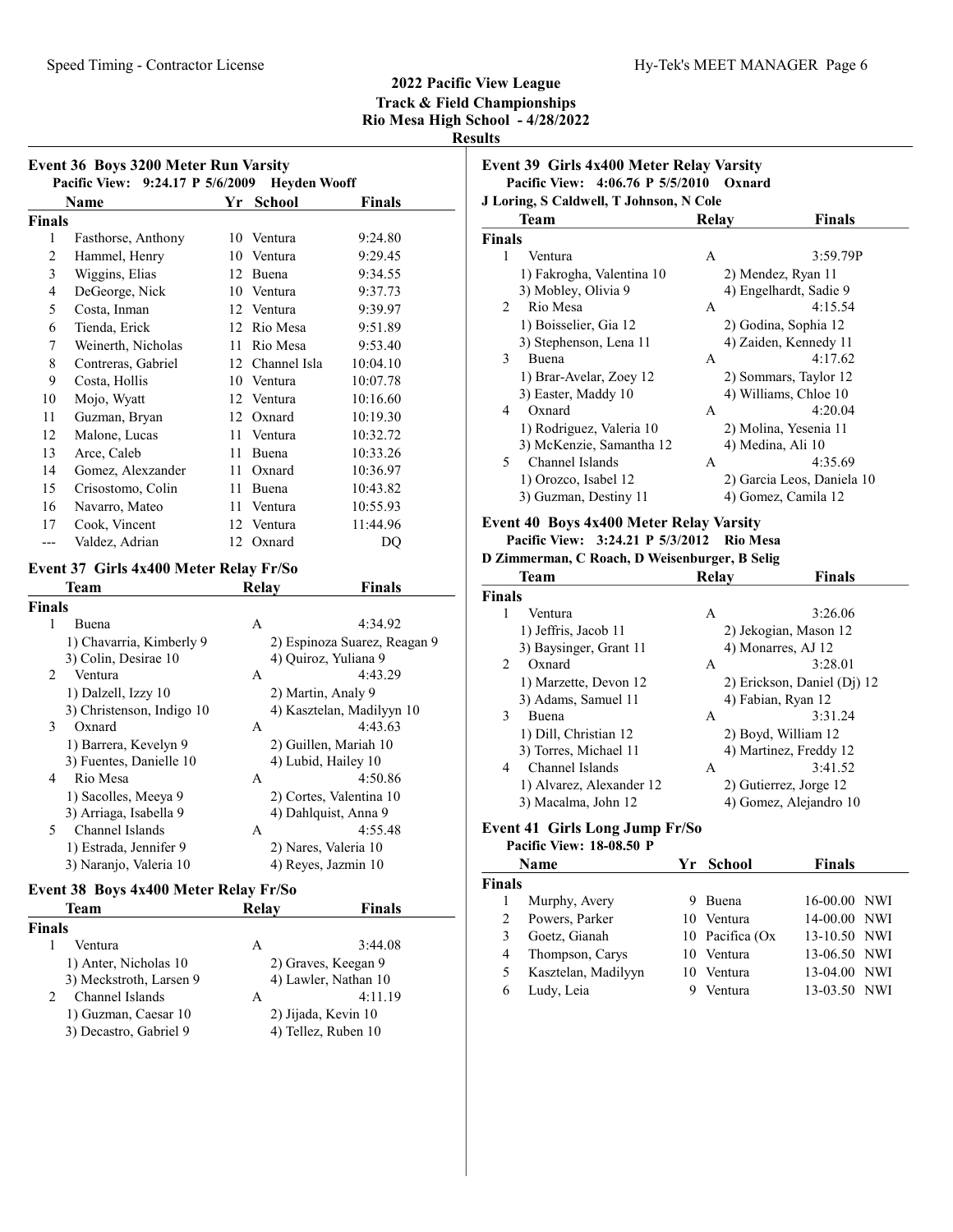|                | Pacific View: 9:24.17 P 5/6/2009<br>Name | Yr | <b>Heyden Wooff</b><br><b>School</b> | Finals   |  |  |  |
|----------------|------------------------------------------|----|--------------------------------------|----------|--|--|--|
| <b>Finals</b>  |                                          |    |                                      |          |  |  |  |
| 1              | Fasthorse, Anthony                       | 10 | Ventura                              | 9:24.80  |  |  |  |
| $\overline{2}$ | Hammel, Henry                            | 10 | Ventura                              | 9:29.45  |  |  |  |
| 3              | Wiggins, Elias                           | 12 | Buena                                | 9:34.55  |  |  |  |
| 4              | DeGeorge, Nick                           | 10 | Ventura                              | 9:37.73  |  |  |  |
| 5              | Costa, Inman                             |    | 12 Ventura                           | 9:39.97  |  |  |  |
| 6              | Tienda, Erick                            | 12 | Rio Mesa                             | 9:51.89  |  |  |  |
| 7              | Weinerth, Nicholas                       | 11 | Rio Mesa                             | 9:53.40  |  |  |  |
| 8              | Contreras, Gabriel                       | 12 | Channel Isla                         | 10:04.10 |  |  |  |
| 9              | Costa, Hollis                            | 10 | Ventura                              | 10:07.78 |  |  |  |
| 10             | Mojo, Wyatt                              | 12 | Ventura                              | 10:16.60 |  |  |  |
| 11             | Guzman, Bryan                            | 12 | Oxnard                               | 10:19.30 |  |  |  |
| 12             | Malone, Lucas                            | 11 | Ventura                              | 10:32.72 |  |  |  |
| 13             | Arce, Caleb                              | 11 | Buena                                | 10:33.26 |  |  |  |
| 14             | Gomez, Alexzander                        | 11 | Oxnard                               | 10:36.97 |  |  |  |
| 15             | Crisostomo, Colin                        | 11 | Buena                                | 10:43.82 |  |  |  |
| 16             | Navarro, Mateo                           | 11 | Ventura                              | 10:55.93 |  |  |  |
| 17             | Cook, Vincent                            | 12 | Ventura                              | 11:44.96 |  |  |  |
| ---            | Valdez, Adrian                           | 12 | Oxnard                               | DO       |  |  |  |
|                | Event 37 Girls 4x400 Meter Relay Fr/So   |    |                                      |          |  |  |  |
|                | Team                                     |    | <b>Finals</b><br>Relay               |          |  |  |  |

| шаіэ |                           |   |                              |
|------|---------------------------|---|------------------------------|
| 1    | Buena                     | A | 4:34.92                      |
|      | 1) Chavarria, Kimberly 9  |   | 2) Espinoza Suarez, Reagan 9 |
|      | 3) Colin, Desirae 10      |   | 4) Ouiroz, Yuliana 9         |
| 2    | Ventura                   | A | 4:43.29                      |
|      | 1) Dalzell, Izzy 10       |   | 2) Martin, Analy 9           |
|      | 3) Christenson, Indigo 10 |   | 4) Kasztelan, Madilyyn 10    |
| 3    | Oxnard                    | A | 4:43.63                      |
|      | 1) Barrera, Kevelyn 9     |   | 2) Guillen, Mariah 10        |
|      | 3) Fuentes, Danielle 10   |   | 4) Lubid, Hailey 10          |
| 4    | Rio Mesa                  | A | 4:50.86                      |
|      | 1) Sacolles, Meeya 9      |   | 2) Cortes, Valentina 10      |
|      | 3) Arriaga, Isabella 9    |   | 4) Dahlquist, Anna 9         |
| 5.   | Channel Islands           | A | 4:55.48                      |
|      | 1) Estrada, Jennifer 9    |   | 2) Nares, Valeria 10         |
|      | 3) Naranjo, Valeria 10    |   | 4) Reyes, Jazmin 10          |

# Event 38 Boys 4x400 Meter Relay Fr/So

|               | Team                    | Relay | Finals               |
|---------------|-------------------------|-------|----------------------|
| <b>Finals</b> |                         |       |                      |
|               | Ventura                 | A     | 3:44.08              |
|               | 1) Anter, Nicholas 10   |       | 2) Graves, Keegan 9  |
|               | 3) Meckstroth, Larsen 9 |       | 4) Lawler, Nathan 10 |
|               | Channel Islands         | A     | 4:11.19              |
|               | 1) Guzman, Caesar 10    |       | 2) Jijada, Kevin 10  |
|               | 3) Decastro, Gabriel 9  |       | 4) Tellez, Ruben 10  |

Event 39 Girls 4x400 Meter Relay Varsity Pacific View: 4:06.76 P 5/5/2010 Oxnard J Loring, S Caldwell, T Johnson, N Cole

|               | Team                      | Relay | <b>Finals</b>              |
|---------------|---------------------------|-------|----------------------------|
| <b>Finals</b> |                           |       |                            |
| 1             | Ventura                   | А     | 3:59.79P                   |
|               | 1) Fakrogha, Valentina 10 |       | 2) Mendez, Ryan 11         |
|               | 3) Mobley, Olivia 9       |       | 4) Engelhardt, Sadie 9     |
| 2             | Rio Mesa                  | A     | 4:15.54                    |
|               | 1) Boisselier, Gia 12     |       | 2) Godina, Sophia 12       |
|               | 3) Stephenson, Lena 11    |       | 4) Zaiden, Kennedy 11      |
| 3             | Buena                     | A     | 4:17.62                    |
|               | 1) Brar-Avelar, Zoey 12   |       | 2) Sommars, Taylor 12      |
|               | 3) Easter, Maddy 10       |       | 4) Williams, Chloe 10      |
| 4             | Oxnard                    | А     | 4:20.04                    |
|               | 1) Rodriguez, Valeria 10  |       | 2) Molina, Yesenia 11      |
|               | 3) McKenzie, Samantha 12  |       | 4) Medina, Ali 10          |
| 5.            | Channel Islands           | A     | 4:35.69                    |
|               | 1) Orozco, Isabel 12      |       | 2) Garcia Leos, Daniela 10 |
|               | 3) Guzman, Destiny 11     |       | 4) Gomez, Camila 12        |

# Event 40 Boys 4x400 Meter Relay Varsity

#### Pacific View: 3:24.21 P 5/3/2012 Rio Mesa D Zimmerman, C Roach, D Weisenburger, B Selig

|               | <b>Team</b>              | Relay | <b>Finals</b>               |
|---------------|--------------------------|-------|-----------------------------|
| <b>Finals</b> |                          |       |                             |
|               | Ventura                  | A     | 3:26.06                     |
|               | 1) Jeffris, Jacob 11     |       | 2) Jekogian, Mason 12       |
|               | 3) Baysinger, Grant 11   |       | 4) Monarres, AJ 12          |
| 2             | Oxnard                   | A     | 3:28.01                     |
|               | 1) Marzette, Devon 12    |       | 2) Erickson, Daniel (Dj) 12 |
|               | 3) Adams, Samuel 11      |       | 4) Fabian, Ryan 12          |
| 3             | <b>Buena</b>             | A     | 3:31.24                     |
|               | 1) Dill, Christian 12    |       | 2) Boyd, William 12         |
|               | 3) Torres, Michael 11    |       | 4) Martinez, Freddy 12      |
| 4             | Channel Islands          | A     | 3:41.52                     |
|               | 1) Alvarez, Alexander 12 |       | 2) Gutierrez, Jorge 12      |
|               | 3) Macalma, John 12      |       | 4) Gomez, Alejandro 10      |

## Event 41 Girls Long Jump Fr/So

# Pacific View: 18-08.50 P

|                               | <b>Name</b>         | Yr School       | <b>Finals</b> |
|-------------------------------|---------------------|-----------------|---------------|
| <b>Finals</b>                 |                     |                 |               |
|                               | Murphy, Avery       | <b>Buena</b>    | 16-00.00 NWI  |
| $\mathfrak{D}_{\mathfrak{p}}$ | Powers, Parker      | 10 Ventura      | 14-00.00 NWI  |
| 3                             | Goetz, Gianah       | 10 Pacifica (Ox | 13-10.50 NWI  |
| 4                             | Thompson, Carys     | 10 Ventura      | 13-06.50 NWI  |
| 5                             | Kasztelan, Madilyyn | 10 Ventura      | 13-04.00 NWI  |
| 6                             | Ludy, Leia          | Ventura         | 13-03.50 NWI  |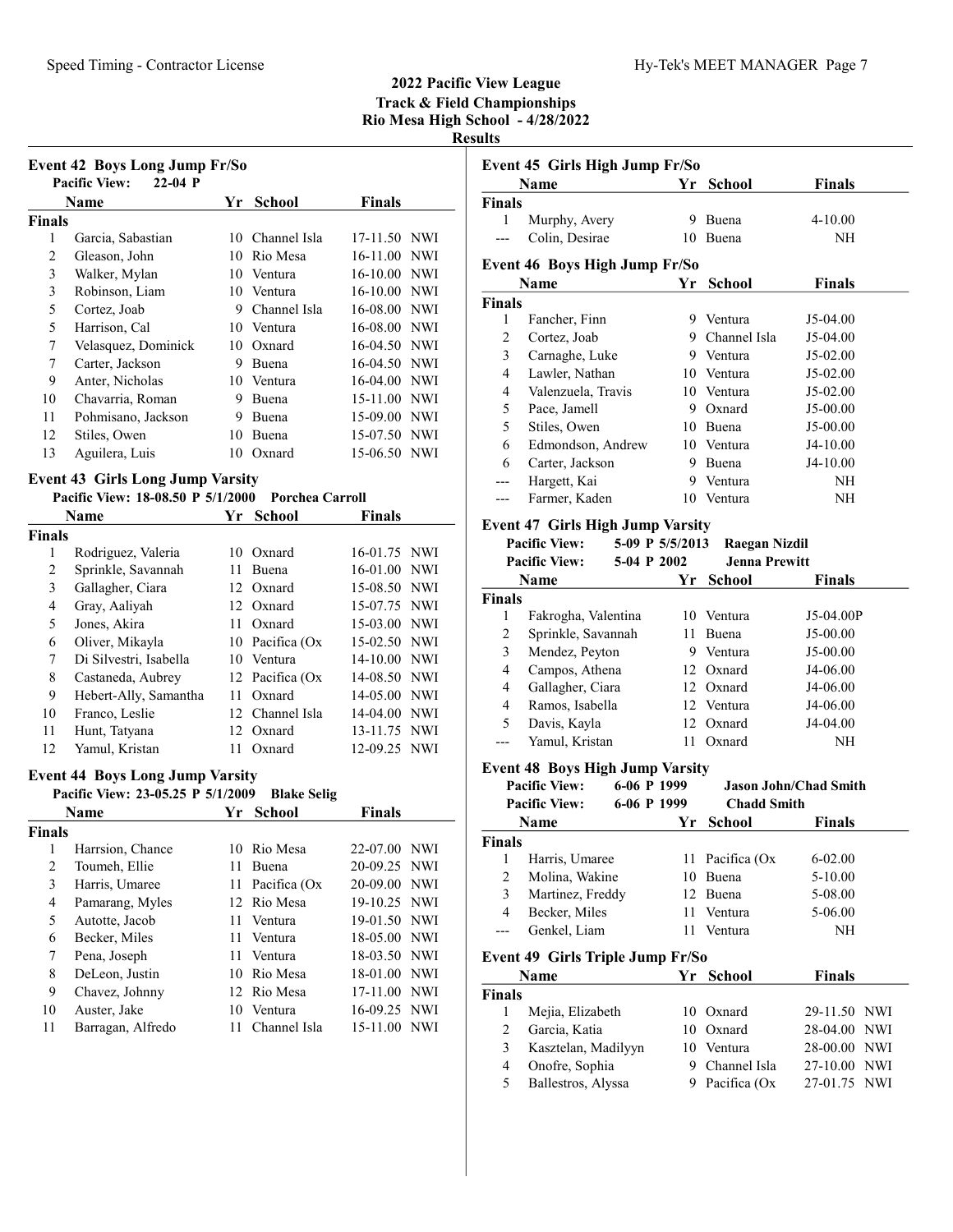|                | <b>Event 42 Boys Long Jump Fr/So</b>    |    |                 |               |            |
|----------------|-----------------------------------------|----|-----------------|---------------|------------|
|                | <b>Pacific View:</b><br>$22-04$ P       |    |                 |               |            |
|                | Name                                    | Yr | <b>School</b>   | <b>Finals</b> |            |
| Finals         |                                         |    |                 |               |            |
| 1              | Garcia, Sabastian                       | 10 | Channel Isla    | 17-11.50      | <b>NWI</b> |
| $\overline{2}$ | Gleason, John                           | 10 | Rio Mesa        | 16-11.00      | <b>NWI</b> |
| 3              | Walker, Mylan                           | 10 | Ventura         | 16-10.00      | <b>NWI</b> |
| 3              | Robinson, Liam                          | 10 | Ventura         | 16-10.00      | <b>NWI</b> |
| 5              | Cortez, Joab                            | 9  | Channel Isla    | 16-08.00      | <b>NWI</b> |
| 5              | Harrison, Cal                           | 10 | Ventura         | 16-08.00      | <b>NWI</b> |
| 7              | Velasquez, Dominick                     | 10 | Oxnard          | 16-04.50      | <b>NWI</b> |
| 7              | Carter, Jackson                         | 9  | <b>Buena</b>    | 16-04.50      | <b>NWI</b> |
| 9              | Anter, Nicholas                         | 10 | Ventura         | 16-04.00      | <b>NWI</b> |
| 10             | Chavarria, Roman                        | 9  | Buena           | 15-11.00      | <b>NWI</b> |
| 11             | Pohmisano, Jackson                      | 9  | Buena           | 15-09.00      | <b>NWI</b> |
| 12             | Stiles, Owen                            | 10 | Buena           | 15-07.50      | <b>NWI</b> |
| 13             | Aguilera, Luis                          | 10 | Oxnard          | 15-06.50      | <b>NWI</b> |
|                | <b>Event 43 Girls Long Jump Varsity</b> |    |                 |               |            |
|                | Pacific View: 18-08.50 P 5/1/2000       |    | Porchea Carroll |               |            |
|                | Name                                    | Yr | School          | <b>Finals</b> |            |
| Finals         |                                         |    |                 |               |            |
| 1              | Rodriguez, Valeria                      | 10 | Oxnard          | 16-01.75      | NWI        |
| $\overline{c}$ | Sprinkle, Savannah                      | 11 | Buena           | 16-01.00      | <b>NWI</b> |

3 Gallagher, Ciara 12 Oxnard 15-08.50 NWI 4 15-07.75 NWI Gray, Aaliyah 12 Oxnard 5 Jones, Akira 11 Oxnard 15-03.00 NWI 6 Oliver, Mikayla 10 Pacifica (Ox 15-02.50 NWI<br>
7 Di Silvestri, Isabella 10 Ventura 14-10.00 NWI 7 14-10.00 NWI Di Silvestri, Isabella 10 Ventura 8 Castaneda, Aubrey 12 Pacifica (Ox 14-08.50 NWI 9 Hebert-Ally, Samantha 11 Oxnard 14-05.00 NWI 10 Franco, Leslie 12 Channel Isla 14-04.00 NWI 11 Hunt, Tatyana 12 Oxnard 13-11.75 NWI 12 12-09.25 NWI Yamul, Kristan 11 Oxnard

# Event 44 Boys Long Jump Varsity

|               | Pacific View: 23-05.25 P 5/1/2009 |     | <b>Blake Selig</b> |               |  |
|---------------|-----------------------------------|-----|--------------------|---------------|--|
|               | Name                              |     | Yr School          | <b>Finals</b> |  |
| <b>Finals</b> |                                   |     |                    |               |  |
| 1             | Harrsion, Chance                  | 10  | Rio Mesa           | 22-07.00 NWI  |  |
| 2             | Toumeh, Ellie                     | 11  | Buena              | 20-09.25 NWI  |  |
| 3             | Harris, Umaree                    | 11  | Pacifica (Ox       | 20-09.00 NWI  |  |
| 4             | Pamarang, Myles                   |     | 12 Rio Mesa        | 19-10.25 NWI  |  |
| 5             | Autotte, Jacob                    |     | 11 Ventura         | 19-01.50 NWI  |  |
| 6             | Becker, Miles                     |     | 11 Ventura         | 18-05.00 NWI  |  |
| 7             | Pena, Joseph                      | 11. | Ventura            | 18-03.50 NWI  |  |
| 8             | DeLeon, Justin                    | 10  | Rio Mesa           | 18-01.00 NWI  |  |
| 9             | Chavez, Johnny                    |     | 12 Rio Mesa        | 17-11.00 NWI  |  |
| 10            | Auster, Jake                      | 10  | Ventura            | 16-09.25 NWI  |  |
| 11            | Barragan, Alfredo                 | 11  | Channel Isla       | 15-11.00 NWI  |  |

| sunts            |                                         |     |                      |                                       |
|------------------|-----------------------------------------|-----|----------------------|---------------------------------------|
|                  | Event 45 Girls High Jump Fr/So<br>Name  | Yr  | School               | <b>Finals</b>                         |
| <b>Finals</b>    |                                         |     |                      |                                       |
| 1                | Murphy, Avery                           |     | 9 Buena              | $4 - 10.00$                           |
| ---              | Colin, Desirae                          |     | 10 Buena             | NH                                    |
|                  |                                         |     |                      |                                       |
|                  | <b>Event 46 Boys High Jump Fr/So</b>    |     |                      |                                       |
|                  | Name                                    | Yr. | School               | <b>Finals</b>                         |
| <b>Finals</b>    |                                         |     |                      |                                       |
| 1                | Fancher, Finn                           |     | 9 Ventura            | J5-04.00                              |
| 2                | Cortez, Joab                            |     | 9 Channel Isla       | J5-04.00                              |
| 3                | Carnaghe, Luke                          |     | 9 Ventura            | J5-02.00                              |
| 4                | Lawler, Nathan                          |     | 10 Ventura           | J5-02.00                              |
| 4                | Valenzuela, Travis                      |     | 10 Ventura           | J5-02.00                              |
| 5                | Pace, Jamell                            |     | 9 Oxnard             | J5-00.00                              |
| 5                | Stiles, Owen                            |     | 10 Buena             | J5-00.00                              |
| 6                | Edmondson, Andrew                       |     | 10 Ventura           | J4-10.00                              |
| 6                | Carter, Jackson                         |     | 9 Buena              | J4-10.00                              |
| ---              | Hargett, Kai                            | 9   | Ventura              | NH                                    |
| ---              | Farmer, Kaden                           | 10  | Ventura              | NΗ                                    |
|                  | <b>Event 47 Girls High Jump Varsity</b> |     |                      |                                       |
|                  | <b>Pacific View:</b><br>5-09 P 5/5/2013 |     | <b>Raegan Nizdil</b> |                                       |
|                  | <b>Pacific View:</b><br>5-04 P 2002     |     | <b>Jenna Prewitt</b> |                                       |
|                  | Name                                    | Yr. | School               | Finals                                |
| <b>Finals</b>    |                                         |     |                      |                                       |
| 1                | Fakrogha, Valentina                     |     | 10 Ventura           | J5-04.00P                             |
| $\boldsymbol{2}$ | Sprinkle, Savannah                      | 11  | Buena                | J5-00.00                              |
| 3                | Mendez, Peyton                          |     | 9 Ventura            | J5-00.00                              |
| $\overline{4}$   | Campos, Athena                          |     | 12 Oxnard            | J4-06.00                              |
| 4                | Gallagher, Ciara                        |     | 12 Oxnard            | J4-06.00                              |
| 4                | Ramos, Isabella                         |     | 12 Ventura           | J4-06.00                              |
| 5                | Davis, Kayla                            |     | 12 Oxnard            | J4-04.00                              |
| ---              | Yamul, Kristan                          |     | 11 Oxnard            | NΗ                                    |
|                  | <b>Event 48 Boys High Jump Varsity</b>  |     |                      |                                       |
|                  | <b>Pacific View:</b><br>6-06 P 1999     |     |                      | <b>Jason John/Chad Smith</b>          |
|                  | <b>Pacific View:</b><br>6-06 P 1999     |     | <b>Chadd Smith</b>   |                                       |
|                  | Name                                    | Yr  | <b>School</b>        | Finals                                |
| Finals           |                                         |     |                      |                                       |
| 1                | Harris, Umaree                          |     | 11 Pacifica (Ox      | $6 - 02.00$                           |
| $\overline{c}$   | Molina, Wakine                          |     | 10 Buena             | 5-10.00                               |
| 3                | Martinez, Freddy                        |     | 12 Buena             | 5-08.00                               |
| $\overline{4}$   | Becker, Miles                           |     | 11 Ventura           | 5-06.00                               |
| $---$            | Genkel, Liam                            | 11  | Ventura              | NH                                    |
|                  | Event 49 Girls Triple Jump Fr/So        |     |                      |                                       |
|                  | Name                                    | Yr  | <b>School</b>        | <b>Finals</b>                         |
| <b>Finals</b>    |                                         |     |                      |                                       |
| 1                | Mejia, Elizabeth                        |     | 10 Oxnard            | 29-11.50 NWI                          |
| $\mathfrak{2}$   | Garcia, Katia                           |     | 10 Oxnard            | 28-04.00 NWI                          |
| 3                | Kasztelan, Madilyyn                     |     | 10 Ventura           | 28-00.00<br>NWI                       |
| 4                | Onofre, Sophia                          |     | 9 Channel Isla       | $\ensuremath{\text{NWI}}$<br>27-10.00 |
| 5                | Ballestros, Alyssa                      | 9.  | Pacifica (Ox         | <b>NWI</b><br>27-01.75                |
|                  |                                         |     |                      |                                       |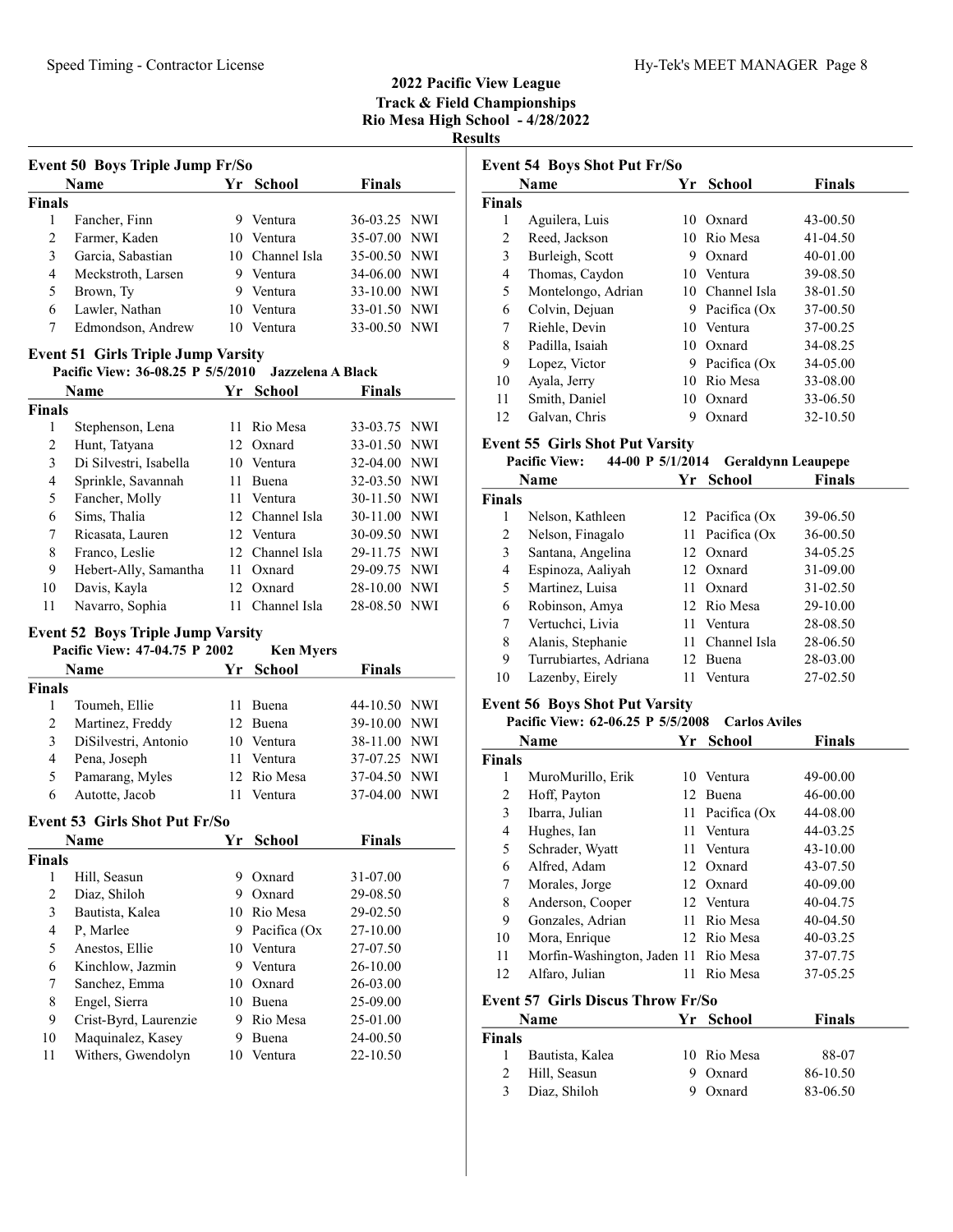|                         | Event 50 Boys Triple Jump Fr/So           |      |                          |               |            |
|-------------------------|-------------------------------------------|------|--------------------------|---------------|------------|
|                         | Name                                      |      | Yr School                | <b>Finals</b> |            |
| <b>Finals</b>           |                                           |      |                          |               |            |
| 1                       | Fancher, Finn                             | 9    | Ventura                  | 36-03.25      | <b>NWI</b> |
| 2                       | Farmer, Kaden                             |      | 10 Ventura               | 35-07.00      | <b>NWI</b> |
| 3                       | Garcia, Sabastian                         |      | 10 Channel Isla          | 35-00.50 NWI  |            |
| 4                       | Meckstroth, Larsen                        |      | 9 Ventura                | 34-06.00 NWI  |            |
| 5                       | Brown, Ty                                 | 9.   | Ventura                  | 33-10.00 NWI  |            |
| 6                       | Lawler, Nathan                            | 10   | Ventura                  | 33-01.50      | <b>NWI</b> |
| 7                       | Edmondson, Andrew                         | 10   | Ventura                  | 33-00.50      | <b>NWI</b> |
|                         |                                           |      |                          |               |            |
|                         | <b>Event 51 Girls Triple Jump Varsity</b> |      |                          |               |            |
|                         | Pacific View: 36-08.25 P 5/5/2010         |      | <b>Jazzelena A Black</b> |               |            |
|                         | Name                                      | Yr   | <b>School</b>            | <b>Finals</b> |            |
| <b>Finals</b>           |                                           |      |                          |               |            |
| 1                       | Stephenson, Lena                          | 11.  | Rio Mesa                 | 33-03.75 NWI  |            |
| 2                       | Hunt, Tatyana                             |      | 12 Oxnard                | 33-01.50 NWI  |            |
| 3                       | Di Silvestri, Isabella                    |      | 10 Ventura               | 32-04.00 NWI  |            |
| 4                       | Sprinkle, Savannah                        |      | 11 Buena                 | 32-03.50 NWI  |            |
| 5                       | Fancher, Molly                            |      | 11 Ventura               | 30-11.50 NWI  |            |
| 6                       | Sims, Thalia                              |      | 12 Channel Isla          | 30-11.00 NWI  |            |
| 7                       | Ricasata, Lauren                          |      | 12 Ventura               | 30-09.50 NWI  |            |
| 8                       | Franco, Leslie                            |      | 12 Channel Isla          | 29-11.75 NWI  |            |
| 9                       | Hebert-Ally, Samantha                     | 11 - | Oxnard                   | 29-09.75      | <b>NWI</b> |
| 10                      | Davis, Kayla                              |      | 12 Oxnard                | 28-10.00      | NWI        |
| 11                      | Navarro, Sophia                           |      | 11 Channel Isla          | 28-08.50      | NWI        |
|                         | <b>Event 52 Boys Triple Jump Varsity</b>  |      |                          |               |            |
|                         | Pacific View: 47-04.75 P 2002             |      | <b>Ken Myers</b>         |               |            |
|                         | Name                                      | Yr   | <b>School</b>            | <b>Finals</b> |            |
| <b>Finals</b>           |                                           |      |                          |               |            |
| 1                       | Toumeh, Ellie                             | 11   | Buena                    | 44-10.50 NWI  |            |
| $\overline{2}$          | Martinez, Freddy                          |      | 12 Buena                 | 39-10.00 NWI  |            |
| 3                       | DiSilvestri, Antonio                      |      | 10 Ventura               | 38-11.00 NWI  |            |
| 4                       | Pena, Joseph                              | 11   | Ventura                  | 37-07.25      | <b>NWI</b> |
| 5                       | Pamarang, Myles                           | 12   | Rio Mesa                 | 37-04.50      | <b>NWI</b> |
| 6                       | Autotte, Jacob                            | 11   | Ventura                  | 37-04.00      | <b>NWI</b> |
|                         |                                           |      |                          |               |            |
|                         | <b>Event 53 Girls Shot Put Fr/So</b>      |      |                          |               |            |
|                         | Name                                      | Yr   | School                   | <b>Finals</b> |            |
| <b>Finals</b>           |                                           |      |                          |               |            |
| $\mathbf{1}$            | Hill, Seasun                              |      | 9 Oxnard                 | 31-07.00      |            |
| $\overline{c}$          | Diaz, Shiloh                              |      | 9 Oxnard                 | 29-08.50      |            |
| $\overline{\mathbf{3}}$ | Bautista, Kalea                           |      | 10 Rio Mesa              | 29-02.50      |            |
| $\overline{4}$          | P, Marlee                                 | 9.   | Pacifica (Ox             | 27-10.00      |            |
| 5                       | Anestos, Ellie                            |      | 10 Ventura               | 27-07.50      |            |
| 6                       | Kinchlow, Jazmin                          |      | 9 Ventura                | 26-10.00      |            |
| 7                       | Sanchez, Emma                             |      | 10 Oxnard                | 26-03.00      |            |
| 8                       | Engel, Sierra                             |      | 10 Buena                 | 25-09.00      |            |
|                         |                                           |      |                          |               |            |
| 9                       | Crist-Byrd, Laurenzie                     |      | 9 Rio Mesa               | 25-01.00      |            |
| 10                      | Maquinalez, Kasey                         | 9    | Buena                    | 24-00.50      |            |

|               | <b>Event 54 Boys Shot Put Fr/So</b>                                        |    |                      |                           |  |
|---------------|----------------------------------------------------------------------------|----|----------------------|---------------------------|--|
|               | <b>Name</b>                                                                | Yr | School               | <b>Finals</b>             |  |
| <b>Finals</b> |                                                                            |    |                      |                           |  |
| 1             | Aguilera, Luis                                                             |    | 10 Oxnard            | 43-00.50                  |  |
| 2             | Reed, Jackson                                                              |    | 10 Rio Mesa          | 41-04.50                  |  |
| 3             | Burleigh, Scott                                                            |    | 9 Oxnard             | 40-01.00                  |  |
| 4             | Thomas, Caydon                                                             |    | 10 Ventura           | 39-08.50                  |  |
| 5             | Montelongo, Adrian                                                         |    | 10 Channel Isla      | 38-01.50                  |  |
| 6             | Colvin, Dejuan                                                             |    | 9 Pacifica (Ox       | 37-00.50                  |  |
| 7             | Riehle, Devin                                                              |    | 10 Ventura           | 37-00.25                  |  |
| 8             | Padilla, Isaiah                                                            |    | 10 Oxnard            | 34-08.25                  |  |
| 9             | Lopez, Victor                                                              |    | 9 Pacifica (Ox       | 34-05.00                  |  |
| 10            | Ayala, Jerry                                                               |    | 10 Rio Mesa          | 33-08.00                  |  |
| 11            | Smith, Daniel                                                              |    | 10 Oxnard            | 33-06.50                  |  |
| 12            | Galvan, Chris                                                              | 9  | Oxnard               | 32-10.50                  |  |
|               | <b>Event 55 Girls Shot Put Varsity</b>                                     |    |                      |                           |  |
|               | <b>Pacific View:</b><br>44-00 P 5/1/2014                                   |    |                      | <b>Geraldynn Leaupepe</b> |  |
|               | Name                                                                       | Yr | <b>School</b>        | <b>Finals</b>             |  |
| <b>Finals</b> |                                                                            |    |                      |                           |  |
| 1             | Nelson, Kathleen                                                           |    | 12 Pacifica (Ox      | 39-06.50                  |  |
| 2             | Nelson, Finagalo                                                           | 11 | Pacifica (Ox         | 36-00.50                  |  |
| 3             | Santana, Angelina                                                          |    | 12 Oxnard            | 34-05.25                  |  |
| 4             | Espinoza, Aaliyah                                                          |    | 12 Oxnard            | 31-09.00                  |  |
| 5             | Martinez, Luisa                                                            |    | 11 Oxnard            | 31-02.50                  |  |
| 6             | Robinson, Amya                                                             |    | 12 Rio Mesa          | 29-10.00                  |  |
| 7             | Vertuchci, Livia                                                           |    | 11 Ventura           | 28-08.50                  |  |
| 8             | Alanis, Stephanie                                                          |    | 11 Channel Isla      | 28-06.50                  |  |
| 9             | Turrubiartes, Adriana                                                      |    | 12 Buena             | 28-03.00                  |  |
| 10            | Lazenby, Eirely                                                            |    | 11 Ventura           | 27-02.50                  |  |
|               |                                                                            |    |                      |                           |  |
|               | <b>Event 56 Boys Shot Put Varsity</b><br>Pacific View: 62-06.25 P 5/5/2008 |    | <b>Carlos Aviles</b> |                           |  |
|               | Name                                                                       | Yr | <b>School</b>        | <b>Finals</b>             |  |
| <b>Finals</b> |                                                                            |    |                      |                           |  |
| 1             | MuroMurillo, Erik                                                          |    | 10 Ventura           | 49-00.00                  |  |
| 2             | Hoff, Payton                                                               |    | 12 Buena             | 46-00.00                  |  |
| 3             | Ibarra, Julian                                                             | 11 | Pacifica (Ox         | 44-08.00                  |  |
| 4             | Hughes, Ian                                                                | 11 | Ventura              | 44-03.25                  |  |
| 5             | Schrader, Wyatt                                                            | 11 | Ventura              | 43-10.00                  |  |
| 6             | Alfred, Adam                                                               | 12 | Oxnard               | 43-07.50                  |  |
| 7             | Morales, Jorge                                                             |    | 12 Oxnard            | 40-09.00                  |  |
| 8             | Anderson, Cooper                                                           |    | 12 Ventura           | 40-04.75                  |  |
| 9             | Gonzales, Adrian                                                           | 11 | Rio Mesa             | 40-04.50                  |  |
| 10            | Mora, Enrique                                                              |    | 12 Rio Mesa          | 40-03.25                  |  |
| 11            | Morfin-Washington, Jaden 11 Rio Mesa                                       |    |                      | 37-07.75                  |  |
| 12            | Alfaro, Julian                                                             | 11 | Rio Mesa             | 37-05.25                  |  |
|               |                                                                            |    |                      |                           |  |
|               | <b>Event 57 Girls Discus Throw Fr/So</b>                                   |    |                      |                           |  |
|               | Name                                                                       |    | Yr School            | <b>Finals</b>             |  |
| <b>Finals</b> |                                                                            |    |                      |                           |  |
| 1             | Bautista, Kalea<br>TT. 11 C                                                |    | 10 Rio Mesa          | 88-07<br>06.1050          |  |

| 2 Hill, Seasun | 9 Oxnard | 86-10.50 |
|----------------|----------|----------|
| 3 Diaz, Shiloh | 9 Oxnard | 83-06.50 |